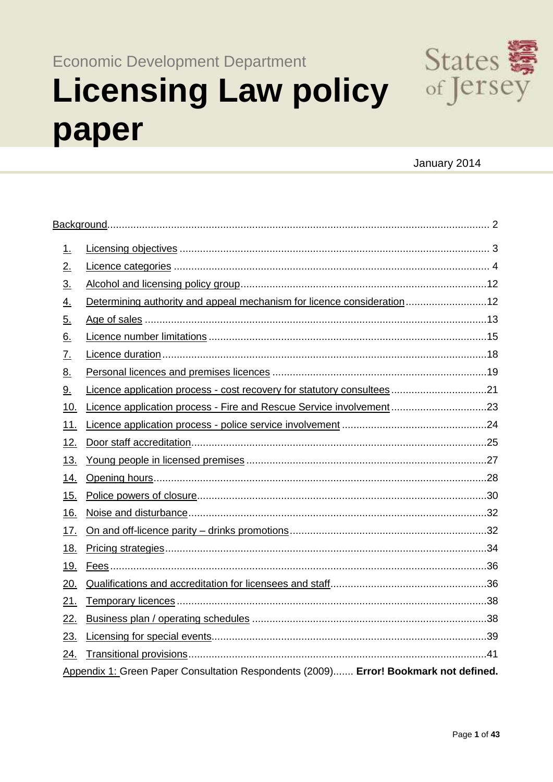**Economic Development Department** 

# **Licensing Law policy** paper



# January 2014

| 1.        |                                                                                      |  |  |  |  |
|-----------|--------------------------------------------------------------------------------------|--|--|--|--|
| 2.        |                                                                                      |  |  |  |  |
| <u>3.</u> |                                                                                      |  |  |  |  |
| <u>4.</u> | Determining authority and appeal mechanism for licence consideration12               |  |  |  |  |
| 5.        |                                                                                      |  |  |  |  |
| <u>6.</u> |                                                                                      |  |  |  |  |
| <u>7.</u> |                                                                                      |  |  |  |  |
| <u>8.</u> |                                                                                      |  |  |  |  |
| <u>9.</u> | Licence application process - cost recovery for statutory consultees21               |  |  |  |  |
| 10.       | Licence application process - Fire and Rescue Service involvement 23                 |  |  |  |  |
| 11.       |                                                                                      |  |  |  |  |
| 12.       |                                                                                      |  |  |  |  |
| 13.       |                                                                                      |  |  |  |  |
| 14.       |                                                                                      |  |  |  |  |
| 15.       |                                                                                      |  |  |  |  |
| 16.       |                                                                                      |  |  |  |  |
| 17.       |                                                                                      |  |  |  |  |
| 18.       |                                                                                      |  |  |  |  |
| 19.       |                                                                                      |  |  |  |  |
| 20.       |                                                                                      |  |  |  |  |
| 21.       |                                                                                      |  |  |  |  |
| 22.       |                                                                                      |  |  |  |  |
| 23.       |                                                                                      |  |  |  |  |
| 24.       |                                                                                      |  |  |  |  |
|           | Appendix 1: Green Paper Consultation Respondents (2009) Error! Bookmark not defined. |  |  |  |  |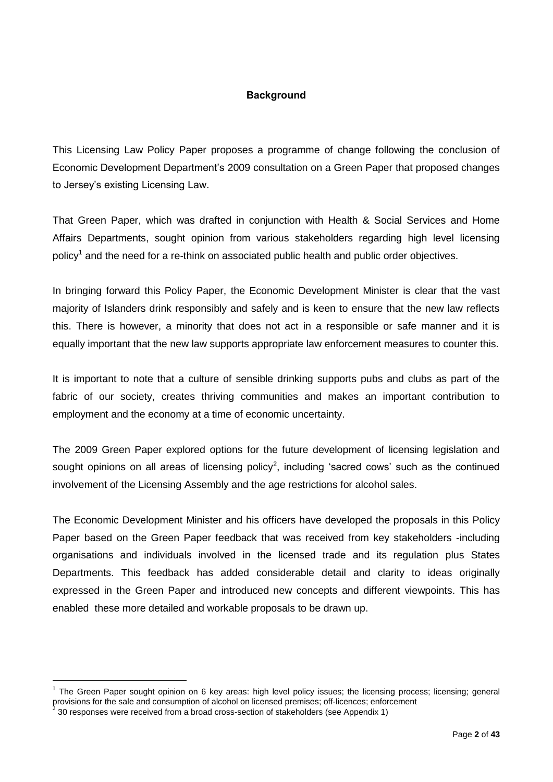#### **Background**

<span id="page-1-0"></span>This Licensing Law Policy Paper proposes a programme of change following the conclusion of Economic Development Department's 2009 consultation on a Green Paper that proposed changes to Jersey's existing Licensing Law.

That Green Paper, which was drafted in conjunction with Health & Social Services and Home Affairs Departments, sought opinion from various stakeholders regarding high level licensing policy<sup>1</sup> and the need for a re-think on associated public health and public order objectives.

In bringing forward this Policy Paper, the Economic Development Minister is clear that the vast majority of Islanders drink responsibly and safely and is keen to ensure that the new law reflects this. There is however, a minority that does not act in a responsible or safe manner and it is equally important that the new law supports appropriate law enforcement measures to counter this.

It is important to note that a culture of sensible drinking supports pubs and clubs as part of the fabric of our society, creates thriving communities and makes an important contribution to employment and the economy at a time of economic uncertainty.

The 2009 Green Paper explored options for the future development of licensing legislation and sought opinions on all areas of licensing policy<sup>2</sup>, including 'sacred cows' such as the continued involvement of the Licensing Assembly and the age restrictions for alcohol sales.

The Economic Development Minister and his officers have developed the proposals in this Policy Paper based on the Green Paper feedback that was received from key stakeholders -including organisations and individuals involved in the licensed trade and its regulation plus States Departments. This feedback has added considerable detail and clarity to ideas originally expressed in the Green Paper and introduced new concepts and different viewpoints. This has enabled these more detailed and workable proposals to be drawn up.

 $1$  The Green Paper sought opinion on 6 key areas: high level policy issues; the licensing process; licensing; general provisions for the sale and consumption of alcohol on licensed premises; off-licences; enforcement

 $\frac{1}{2}$ 30 responses were received from a broad cross-section of stakeholders (see Appendix 1)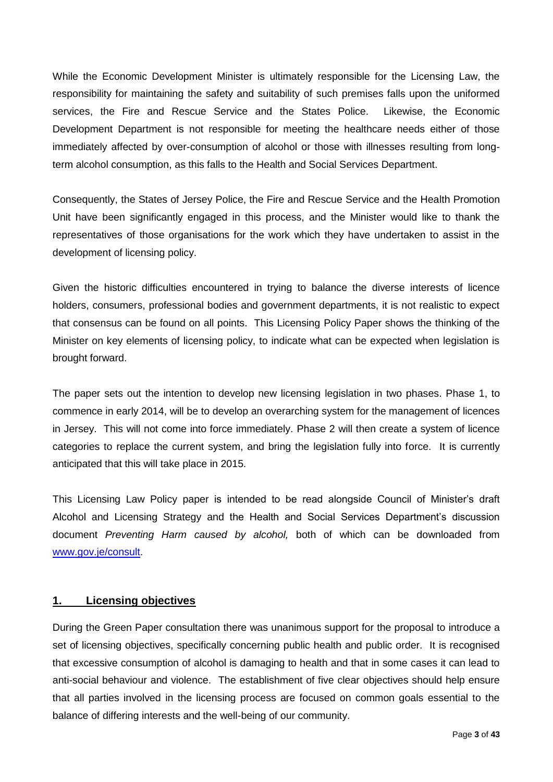While the Economic Development Minister is ultimately responsible for the Licensing Law, the responsibility for maintaining the safety and suitability of such premises falls upon the uniformed services, the Fire and Rescue Service and the States Police. Likewise, the Economic Development Department is not responsible for meeting the healthcare needs either of those immediately affected by over-consumption of alcohol or those with illnesses resulting from longterm alcohol consumption, as this falls to the Health and Social Services Department.

Consequently, the States of Jersey Police, the Fire and Rescue Service and the Health Promotion Unit have been significantly engaged in this process, and the Minister would like to thank the representatives of those organisations for the work which they have undertaken to assist in the development of licensing policy.

Given the historic difficulties encountered in trying to balance the diverse interests of licence holders, consumers, professional bodies and government departments, it is not realistic to expect that consensus can be found on all points. This Licensing Policy Paper shows the thinking of the Minister on key elements of licensing policy, to indicate what can be expected when legislation is brought forward.

The paper sets out the intention to develop new licensing legislation in two phases. Phase 1, to commence in early 2014, will be to develop an overarching system for the management of licences in Jersey. This will not come into force immediately. Phase 2 will then create a system of licence categories to replace the current system, and bring the legislation fully into force. It is currently anticipated that this will take place in 2015.

This Licensing Law Policy paper is intended to be read alongside Council of Minister's draft Alcohol and Licensing Strategy and the Health and Social Services Department's discussion document *Preventing Harm caused by alcohol,* both of which can be downloaded from [www.gov.je/consult.](http://www.gov.je/consult)

#### <span id="page-2-0"></span>**1. Licensing objectives**

During the Green Paper consultation there was unanimous support for the proposal to introduce a set of licensing objectives, specifically concerning public health and public order. It is recognised that excessive consumption of alcohol is damaging to health and that in some cases it can lead to anti-social behaviour and violence. The establishment of five clear objectives should help ensure that all parties involved in the licensing process are focused on common goals essential to the balance of differing interests and the well-being of our community.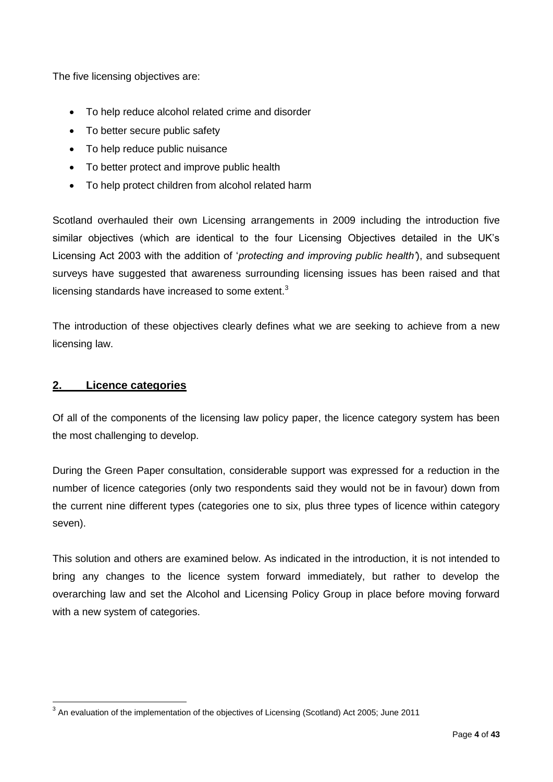The five licensing objectives are:

- To help reduce alcohol related crime and disorder
- To better secure public safety
- To help reduce public nuisance
- To better protect and improve public health
- To help protect children from alcohol related harm

Scotland overhauled their own Licensing arrangements in 2009 including the introduction five similar objectives (which are identical to the four Licensing Objectives detailed in the UK's Licensing Act 2003 with the addition of '*protecting and improving public health'*), and subsequent surveys have suggested that awareness surrounding licensing issues has been raised and that licensing standards have increased to some extent. $3$ 

The introduction of these objectives clearly defines what we are seeking to achieve from a new licensing law.

#### <span id="page-3-0"></span>**2. Licence categories**

Of all of the components of the licensing law policy paper, the licence category system has been the most challenging to develop.

During the Green Paper consultation, considerable support was expressed for a reduction in the number of licence categories (only two respondents said they would not be in favour) down from the current nine different types (categories one to six, plus three types of licence within category seven).

This solution and others are examined below. As indicated in the introduction, it is not intended to bring any changes to the licence system forward immediately, but rather to develop the overarching law and set the Alcohol and Licensing Policy Group in place before moving forward with a new system of categories.

 $^3$  An evaluation of the implementation of the objectives of Licensing (Scotland) Act 2005; June 2011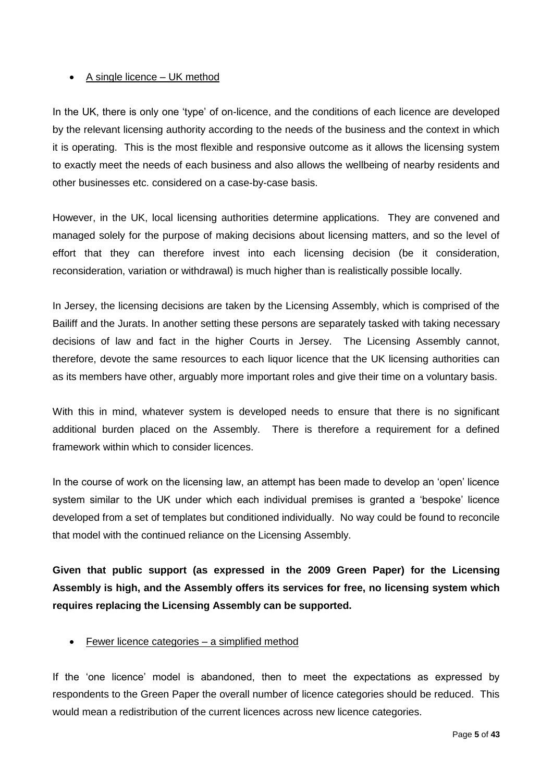#### • A single licence – UK method

In the UK, there is only one 'type' of on-licence, and the conditions of each licence are developed by the relevant licensing authority according to the needs of the business and the context in which it is operating. This is the most flexible and responsive outcome as it allows the licensing system to exactly meet the needs of each business and also allows the wellbeing of nearby residents and other businesses etc. considered on a case-by-case basis.

However, in the UK, local licensing authorities determine applications. They are convened and managed solely for the purpose of making decisions about licensing matters, and so the level of effort that they can therefore invest into each licensing decision (be it consideration, reconsideration, variation or withdrawal) is much higher than is realistically possible locally.

In Jersey, the licensing decisions are taken by the Licensing Assembly, which is comprised of the Bailiff and the Jurats. In another setting these persons are separately tasked with taking necessary decisions of law and fact in the higher Courts in Jersey. The Licensing Assembly cannot, therefore, devote the same resources to each liquor licence that the UK licensing authorities can as its members have other, arguably more important roles and give their time on a voluntary basis.

With this in mind, whatever system is developed needs to ensure that there is no significant additional burden placed on the Assembly. There is therefore a requirement for a defined framework within which to consider licences.

In the course of work on the licensing law, an attempt has been made to develop an 'open' licence system similar to the UK under which each individual premises is granted a 'bespoke' licence developed from a set of templates but conditioned individually. No way could be found to reconcile that model with the continued reliance on the Licensing Assembly.

**Given that public support (as expressed in the 2009 Green Paper) for the Licensing Assembly is high, and the Assembly offers its services for free, no licensing system which requires replacing the Licensing Assembly can be supported.**

#### Fewer licence categories – a simplified method

If the 'one licence' model is abandoned, then to meet the expectations as expressed by respondents to the Green Paper the overall number of licence categories should be reduced. This would mean a redistribution of the current licences across new licence categories.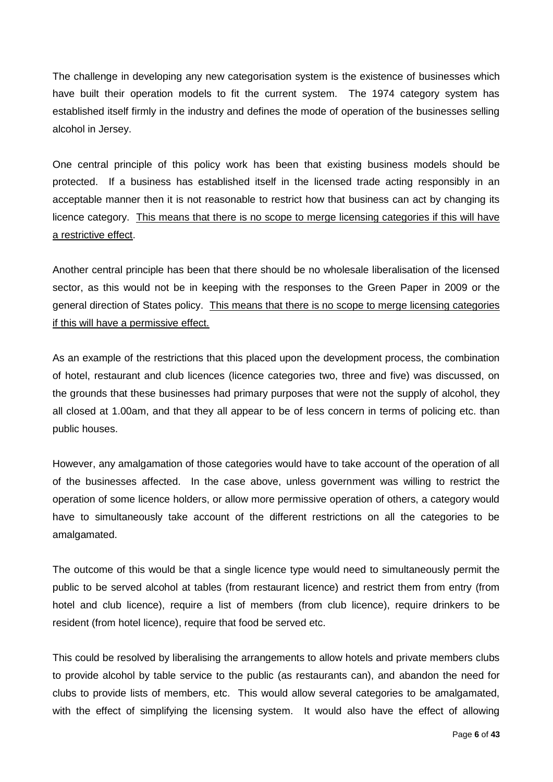The challenge in developing any new categorisation system is the existence of businesses which have built their operation models to fit the current system. The 1974 category system has established itself firmly in the industry and defines the mode of operation of the businesses selling alcohol in Jersey.

One central principle of this policy work has been that existing business models should be protected. If a business has established itself in the licensed trade acting responsibly in an acceptable manner then it is not reasonable to restrict how that business can act by changing its licence category. This means that there is no scope to merge licensing categories if this will have a restrictive effect.

Another central principle has been that there should be no wholesale liberalisation of the licensed sector, as this would not be in keeping with the responses to the Green Paper in 2009 or the general direction of States policy. This means that there is no scope to merge licensing categories if this will have a permissive effect.

As an example of the restrictions that this placed upon the development process, the combination of hotel, restaurant and club licences (licence categories two, three and five) was discussed, on the grounds that these businesses had primary purposes that were not the supply of alcohol, they all closed at 1.00am, and that they all appear to be of less concern in terms of policing etc. than public houses.

However, any amalgamation of those categories would have to take account of the operation of all of the businesses affected. In the case above, unless government was willing to restrict the operation of some licence holders, or allow more permissive operation of others, a category would have to simultaneously take account of the different restrictions on all the categories to be amalgamated.

The outcome of this would be that a single licence type would need to simultaneously permit the public to be served alcohol at tables (from restaurant licence) and restrict them from entry (from hotel and club licence), require a list of members (from club licence), require drinkers to be resident (from hotel licence), require that food be served etc.

This could be resolved by liberalising the arrangements to allow hotels and private members clubs to provide alcohol by table service to the public (as restaurants can), and abandon the need for clubs to provide lists of members, etc. This would allow several categories to be amalgamated, with the effect of simplifying the licensing system. It would also have the effect of allowing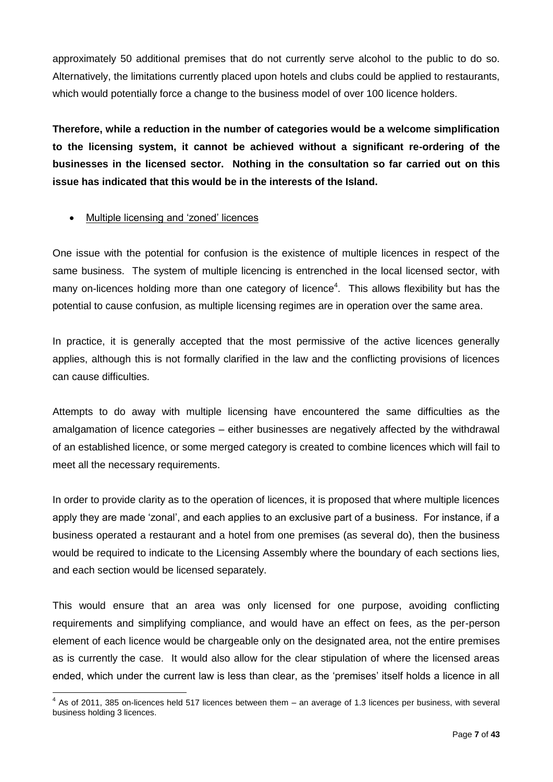approximately 50 additional premises that do not currently serve alcohol to the public to do so. Alternatively, the limitations currently placed upon hotels and clubs could be applied to restaurants, which would potentially force a change to the business model of over 100 licence holders.

**Therefore, while a reduction in the number of categories would be a welcome simplification to the licensing system, it cannot be achieved without a significant re-ordering of the businesses in the licensed sector. Nothing in the consultation so far carried out on this issue has indicated that this would be in the interests of the Island.** 

#### Multiple licensing and 'zoned' licences

One issue with the potential for confusion is the existence of multiple licences in respect of the same business. The system of multiple licencing is entrenched in the local licensed sector, with many on-licences holding more than one category of licence<sup>4</sup>. This allows flexibility but has the potential to cause confusion, as multiple licensing regimes are in operation over the same area.

In practice, it is generally accepted that the most permissive of the active licences generally applies, although this is not formally clarified in the law and the conflicting provisions of licences can cause difficulties.

Attempts to do away with multiple licensing have encountered the same difficulties as the amalgamation of licence categories – either businesses are negatively affected by the withdrawal of an established licence, or some merged category is created to combine licences which will fail to meet all the necessary requirements.

In order to provide clarity as to the operation of licences, it is proposed that where multiple licences apply they are made 'zonal', and each applies to an exclusive part of a business. For instance, if a business operated a restaurant and a hotel from one premises (as several do), then the business would be required to indicate to the Licensing Assembly where the boundary of each sections lies, and each section would be licensed separately.

This would ensure that an area was only licensed for one purpose, avoiding conflicting requirements and simplifying compliance, and would have an effect on fees, as the per-person element of each licence would be chargeable only on the designated area, not the entire premises as is currently the case. It would also allow for the clear stipulation of where the licensed areas ended, which under the current law is less than clear, as the 'premises' itself holds a licence in all

 4 As of 2011, 385 on-licences held 517 licences between them – an average of 1.3 licences per business, with several business holding 3 licences.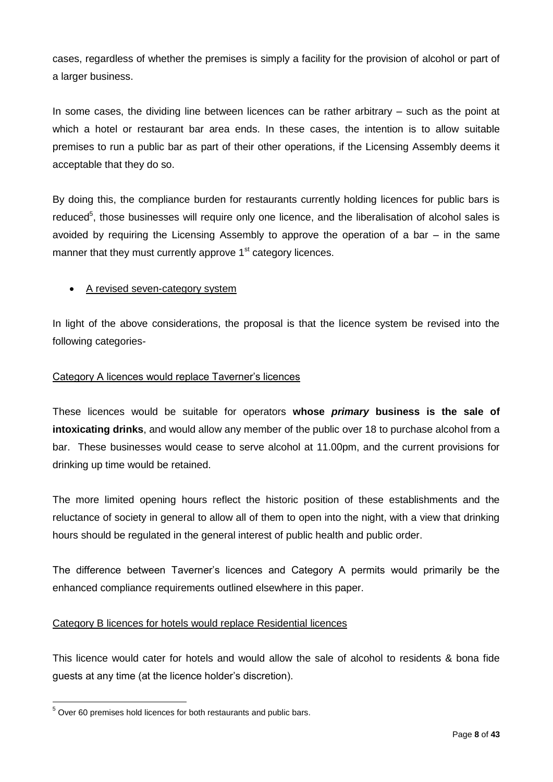cases, regardless of whether the premises is simply a facility for the provision of alcohol or part of a larger business.

In some cases, the dividing line between licences can be rather arbitrary – such as the point at which a hotel or restaurant bar area ends. In these cases, the intention is to allow suitable premises to run a public bar as part of their other operations, if the Licensing Assembly deems it acceptable that they do so.

By doing this, the compliance burden for restaurants currently holding licences for public bars is reduced<sup>5</sup>, those businesses will require only one licence, and the liberalisation of alcohol sales is avoided by requiring the Licensing Assembly to approve the operation of a bar – in the same manner that they must currently approve 1<sup>st</sup> category licences.

#### • A revised seven-category system

In light of the above considerations, the proposal is that the licence system be revised into the following categories-

#### Category A licences would replace Taverner's licences

These licences would be suitable for operators **whose** *primary* **business is the sale of intoxicating drinks**, and would allow any member of the public over 18 to purchase alcohol from a bar. These businesses would cease to serve alcohol at 11.00pm, and the current provisions for drinking up time would be retained.

The more limited opening hours reflect the historic position of these establishments and the reluctance of society in general to allow all of them to open into the night, with a view that drinking hours should be regulated in the general interest of public health and public order.

The difference between Taverner's licences and Category A permits would primarily be the enhanced compliance requirements outlined elsewhere in this paper.

#### Category B licences for hotels would replace Residential licences

This licence would cater for hotels and would allow the sale of alcohol to residents & bona fide guests at any time (at the licence holder's discretion).

 $\overline{a}$  $5$  Over 60 premises hold licences for both restaurants and public bars.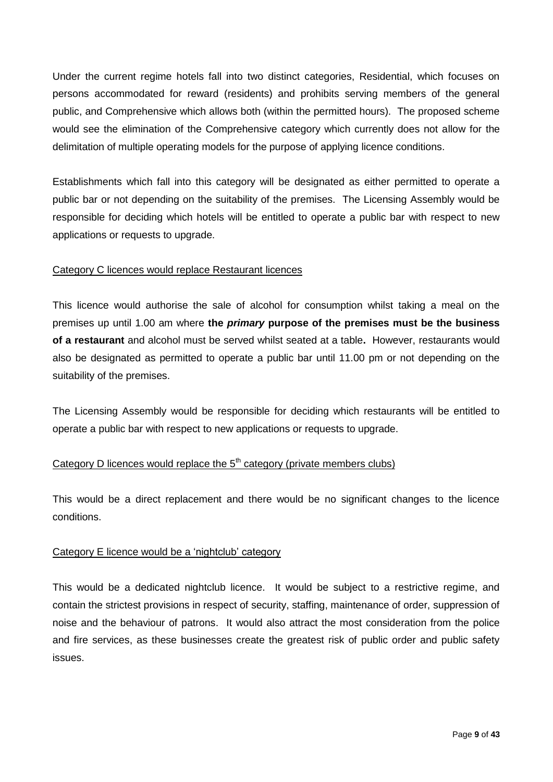Under the current regime hotels fall into two distinct categories, Residential, which focuses on persons accommodated for reward (residents) and prohibits serving members of the general public, and Comprehensive which allows both (within the permitted hours). The proposed scheme would see the elimination of the Comprehensive category which currently does not allow for the delimitation of multiple operating models for the purpose of applying licence conditions.

Establishments which fall into this category will be designated as either permitted to operate a public bar or not depending on the suitability of the premises. The Licensing Assembly would be responsible for deciding which hotels will be entitled to operate a public bar with respect to new applications or requests to upgrade.

#### Category C licences would replace Restaurant licences

This licence would authorise the sale of alcohol for consumption whilst taking a meal on the premises up until 1.00 am where **the** *primary* **purpose of the premises must be the business of a restaurant** and alcohol must be served whilst seated at a table**.** However, restaurants would also be designated as permitted to operate a public bar until 11.00 pm or not depending on the suitability of the premises.

The Licensing Assembly would be responsible for deciding which restaurants will be entitled to operate a public bar with respect to new applications or requests to upgrade.

# Category D licences would replace the  $5<sup>th</sup>$  category (private members clubs)

This would be a direct replacement and there would be no significant changes to the licence conditions.

#### Category E licence would be a 'nightclub' category

This would be a dedicated nightclub licence. It would be subject to a restrictive regime, and contain the strictest provisions in respect of security, staffing, maintenance of order, suppression of noise and the behaviour of patrons. It would also attract the most consideration from the police and fire services, as these businesses create the greatest risk of public order and public safety issues.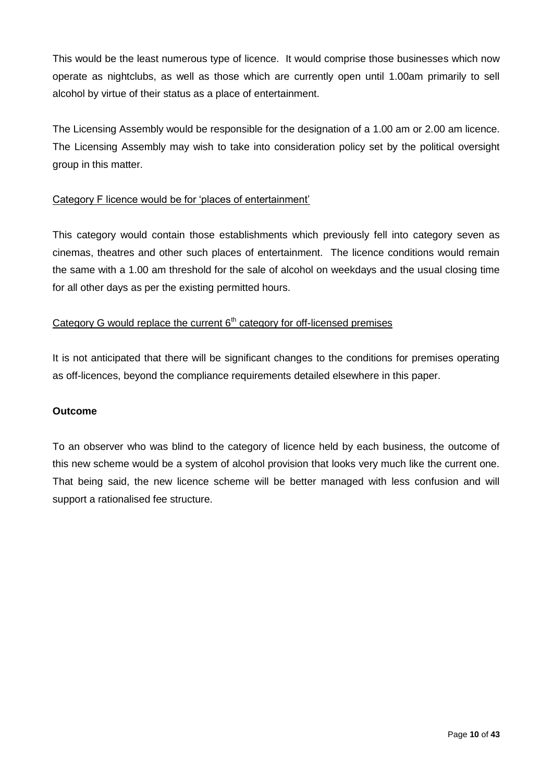This would be the least numerous type of licence. It would comprise those businesses which now operate as nightclubs, as well as those which are currently open until 1.00am primarily to sell alcohol by virtue of their status as a place of entertainment.

The Licensing Assembly would be responsible for the designation of a 1.00 am or 2.00 am licence. The Licensing Assembly may wish to take into consideration policy set by the political oversight group in this matter.

#### Category F licence would be for 'places of entertainment'

This category would contain those establishments which previously fell into category seven as cinemas, theatres and other such places of entertainment. The licence conditions would remain the same with a 1.00 am threshold for the sale of alcohol on weekdays and the usual closing time for all other days as per the existing permitted hours.

# Category G would replace the current  $6<sup>th</sup>$  category for off-licensed premises

It is not anticipated that there will be significant changes to the conditions for premises operating as off-licences, beyond the compliance requirements detailed elsewhere in this paper.

#### **Outcome**

To an observer who was blind to the category of licence held by each business, the outcome of this new scheme would be a system of alcohol provision that looks very much like the current one. That being said, the new licence scheme will be better managed with less confusion and will support a rationalised fee structure.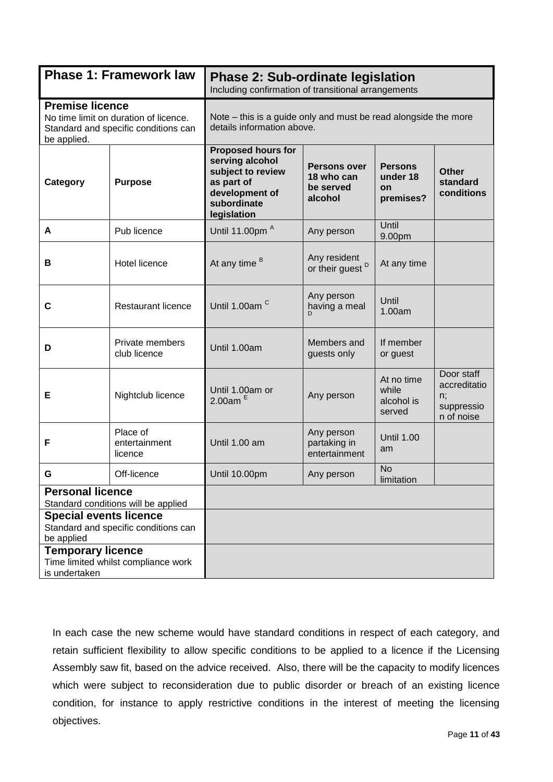|                                                                                                    | <b>Phase 1: Framework law</b>                                                 | <b>Phase 2: Sub-ordinate legislation</b><br>Including confirmation of transitional arrangements                                 |                                                           |                                               |                                                              |
|----------------------------------------------------------------------------------------------------|-------------------------------------------------------------------------------|---------------------------------------------------------------------------------------------------------------------------------|-----------------------------------------------------------|-----------------------------------------------|--------------------------------------------------------------|
| <b>Premise licence</b><br>be applied.                                                              | No time limit on duration of licence.<br>Standard and specific conditions can | Note – this is a guide only and must be read alongside the more<br>details information above.                                   |                                                           |                                               |                                                              |
| Category                                                                                           | <b>Purpose</b>                                                                | <b>Proposed hours for</b><br>serving alcohol<br>subject to review<br>as part of<br>development of<br>subordinate<br>legislation | <b>Persons over</b><br>18 who can<br>be served<br>alcohol | <b>Persons</b><br>under 18<br>on<br>premises? | <b>Other</b><br>standard<br>conditions                       |
| A                                                                                                  | Pub licence                                                                   | Until 11.00pm <sup>A</sup>                                                                                                      | Any person                                                | Until<br>9.00pm                               |                                                              |
| В                                                                                                  | <b>Hotel licence</b>                                                          | At any time <sup>B</sup>                                                                                                        | Any resident<br>or their guest <sup>D</sup>               | At any time                                   |                                                              |
| C                                                                                                  | <b>Restaurant licence</b>                                                     | Until 1.00am <sup>C</sup>                                                                                                       | Any person<br>having a meal                               | Until<br>1.00am                               |                                                              |
| D                                                                                                  | Private members<br>club licence                                               | Until 1.00am                                                                                                                    | Members and<br>guests only                                | If member<br>or guest                         |                                                              |
| Е                                                                                                  | Nightclub licence                                                             | Until 1.00am or<br>2.00am $E$                                                                                                   | Any person                                                | At no time<br>while<br>alcohol is<br>served   | Door staff<br>accreditatio<br>n;<br>suppressio<br>n of noise |
| F                                                                                                  | Place of<br>entertainment<br>licence                                          | Until 1.00 am                                                                                                                   | Any person<br>partaking in<br>entertainment               | <b>Until 1.00</b><br>am                       |                                                              |
| G                                                                                                  | Off-licence                                                                   | Until 10.00pm                                                                                                                   | Any person                                                | <b>No</b><br>limitation                       |                                                              |
| <b>Personal licence</b><br><b>Special events licence</b><br>be applied<br><b>Temporary licence</b> | Standard conditions will be applied<br>Standard and specific conditions can   |                                                                                                                                 |                                                           |                                               |                                                              |
| is undertaken                                                                                      | Time limited whilst compliance work                                           |                                                                                                                                 |                                                           |                                               |                                                              |

In each case the new scheme would have standard conditions in respect of each category, and retain sufficient flexibility to allow specific conditions to be applied to a licence if the Licensing Assembly saw fit, based on the advice received. Also, there will be the capacity to modify licences which were subject to reconsideration due to public disorder or breach of an existing licence condition, for instance to apply restrictive conditions in the interest of meeting the licensing objectives.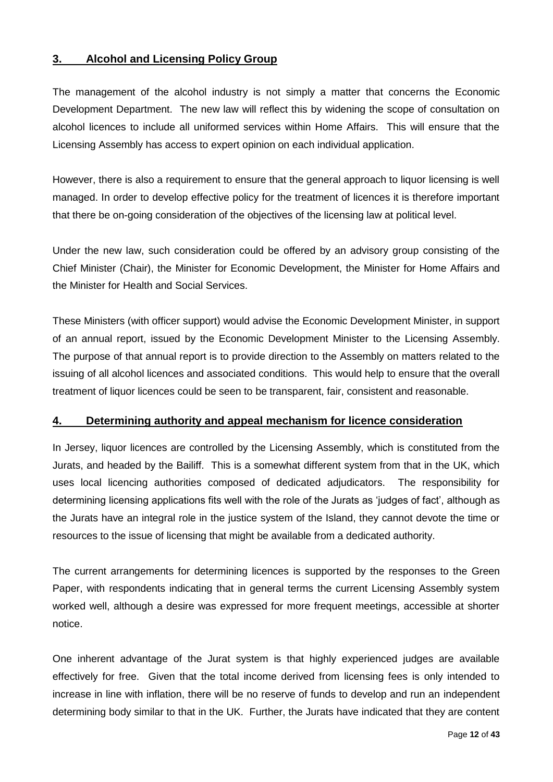#### <span id="page-11-0"></span>**3. Alcohol and Licensing Policy Group**

The management of the alcohol industry is not simply a matter that concerns the Economic Development Department. The new law will reflect this by widening the scope of consultation on alcohol licences to include all uniformed services within Home Affairs. This will ensure that the Licensing Assembly has access to expert opinion on each individual application.

However, there is also a requirement to ensure that the general approach to liquor licensing is well managed. In order to develop effective policy for the treatment of licences it is therefore important that there be on-going consideration of the objectives of the licensing law at political level.

Under the new law, such consideration could be offered by an advisory group consisting of the Chief Minister (Chair), the Minister for Economic Development, the Minister for Home Affairs and the Minister for Health and Social Services.

These Ministers (with officer support) would advise the Economic Development Minister, in support of an annual report, issued by the Economic Development Minister to the Licensing Assembly. The purpose of that annual report is to provide direction to the Assembly on matters related to the issuing of all alcohol licences and associated conditions. This would help to ensure that the overall treatment of liquor licences could be seen to be transparent, fair, consistent and reasonable.

#### <span id="page-11-1"></span>**4. Determining authority and appeal mechanism for licence consideration**

In Jersey, liquor licences are controlled by the Licensing Assembly, which is constituted from the Jurats, and headed by the Bailiff. This is a somewhat different system from that in the UK, which uses local licencing authorities composed of dedicated adjudicators. The responsibility for determining licensing applications fits well with the role of the Jurats as 'judges of fact', although as the Jurats have an integral role in the justice system of the Island, they cannot devote the time or resources to the issue of licensing that might be available from a dedicated authority.

The current arrangements for determining licences is supported by the responses to the Green Paper, with respondents indicating that in general terms the current Licensing Assembly system worked well, although a desire was expressed for more frequent meetings, accessible at shorter notice.

One inherent advantage of the Jurat system is that highly experienced judges are available effectively for free. Given that the total income derived from licensing fees is only intended to increase in line with inflation, there will be no reserve of funds to develop and run an independent determining body similar to that in the UK. Further, the Jurats have indicated that they are content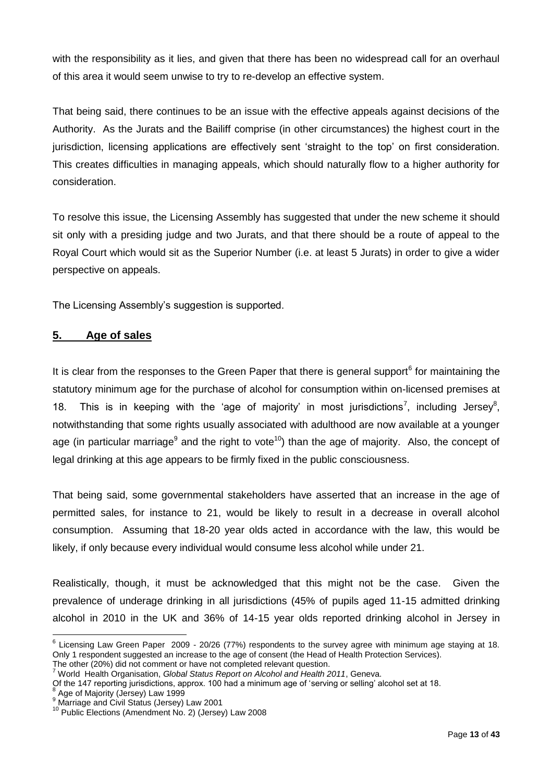with the responsibility as it lies, and given that there has been no widespread call for an overhaul of this area it would seem unwise to try to re-develop an effective system.

That being said, there continues to be an issue with the effective appeals against decisions of the Authority. As the Jurats and the Bailiff comprise (in other circumstances) the highest court in the jurisdiction, licensing applications are effectively sent 'straight to the top' on first consideration. This creates difficulties in managing appeals, which should naturally flow to a higher authority for consideration.

To resolve this issue, the Licensing Assembly has suggested that under the new scheme it should sit only with a presiding judge and two Jurats, and that there should be a route of appeal to the Royal Court which would sit as the Superior Number (i.e. at least 5 Jurats) in order to give a wider perspective on appeals.

The Licensing Assembly's suggestion is supported.

# <span id="page-12-0"></span>**5. Age of sales**

It is clear from the responses to the Green Paper that there is general support<sup>6</sup> for maintaining the statutory minimum age for the purchase of alcohol for consumption within on-licensed premises at 18. This is in keeping with the 'age of majority' in most jurisdictions<sup>7</sup>, including Jersey<sup>8</sup>, notwithstanding that some rights usually associated with adulthood are now available at a younger age (in particular marriage<sup>9</sup> and the right to vote<sup>10</sup>) than the age of majority. Also, the concept of legal drinking at this age appears to be firmly fixed in the public consciousness.

That being said, some governmental stakeholders have asserted that an increase in the age of permitted sales, for instance to 21, would be likely to result in a decrease in overall alcohol consumption. Assuming that 18-20 year olds acted in accordance with the law, this would be likely, if only because every individual would consume less alcohol while under 21.

Realistically, though, it must be acknowledged that this might not be the case. Given the prevalence of underage drinking in all jurisdictions (45% of pupils aged 11-15 admitted drinking alcohol in 2010 in the UK and 36% of 14-15 year olds reported drinking alcohol in Jersey in

 $6$  Licensing Law Green Paper 2009 - 20/26 (77%) respondents to the survey agree with minimum age staying at 18. Only 1 respondent suggested an increase to the age of consent (the Head of Health Protection Services). The other (20%) did not comment or have not completed relevant question.

<sup>7</sup> World Health Organisation, *Global Status Report on Alcohol and Health 2011*, Geneva.

Of the 147 reporting jurisdictions, approx. 100 had a minimum age of 'serving or selling' alcohol set at 18.<br><sup>8</sup> Age of Meierity (Jaraay) Law 1999.

Age of Majority (Jersey) Law 1999

Age of majority (Jersey) Law 1999<br>Marriage and Civil Status (Jersey) Law 2001

<sup>10</sup> Public Elections (Amendment No. 2) (Jersey) Law 2008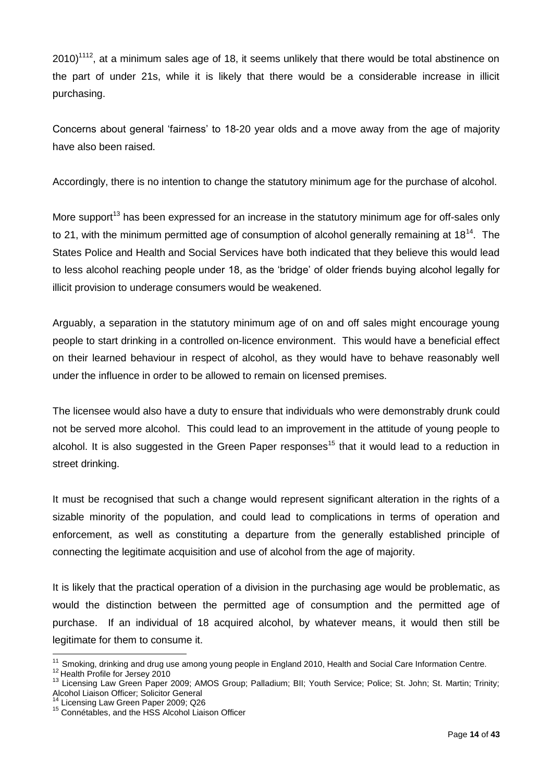$2010$ <sup>1112</sup>, at a minimum sales age of 18, it seems unlikely that there would be total abstinence on the part of under 21s, while it is likely that there would be a considerable increase in illicit purchasing.

Concerns about general 'fairness' to 18-20 year olds and a move away from the age of majority have also been raised.

Accordingly, there is no intention to change the statutory minimum age for the purchase of alcohol.

More support<sup>13</sup> has been expressed for an increase in the statutory minimum age for off-sales only to 21, with the minimum permitted age of consumption of alcohol generally remaining at 18<sup>14</sup>. The States Police and Health and Social Services have both indicated that they believe this would lead to less alcohol reaching people under 18, as the 'bridge' of older friends buying alcohol legally for illicit provision to underage consumers would be weakened.

Arguably, a separation in the statutory minimum age of on and off sales might encourage young people to start drinking in a controlled on-licence environment. This would have a beneficial effect on their learned behaviour in respect of alcohol, as they would have to behave reasonably well under the influence in order to be allowed to remain on licensed premises.

The licensee would also have a duty to ensure that individuals who were demonstrably drunk could not be served more alcohol. This could lead to an improvement in the attitude of young people to alcohol. It is also suggested in the Green Paper responses<sup>15</sup> that it would lead to a reduction in street drinking.

It must be recognised that such a change would represent significant alteration in the rights of a sizable minority of the population, and could lead to complications in terms of operation and enforcement, as well as constituting a departure from the generally established principle of connecting the legitimate acquisition and use of alcohol from the age of majority.

It is likely that the practical operation of a division in the purchasing age would be problematic, as would the distinction between the permitted age of consumption and the permitted age of purchase. If an individual of 18 acquired alcohol, by whatever means, it would then still be legitimate for them to consume it.

 $\overline{a}$  $11$  Smoking, drinking and drug use among young people in England 2010, Health and Social Care Information Centre.

 $12$  Health Profile for Jersey 2010

<sup>13</sup> Licensing Law Green Paper 2009; AMOS Group; Palladium; BII; Youth Service; Police; St. John; St. Martin; Trinity; Alcohol Liaison Officer; Solicitor General

<sup>&</sup>lt;sup>14</sup> Licensing Law Green Paper 2009; Q26

<sup>&</sup>lt;sup>15</sup> Connétables, and the HSS Alcohol Liaison Officer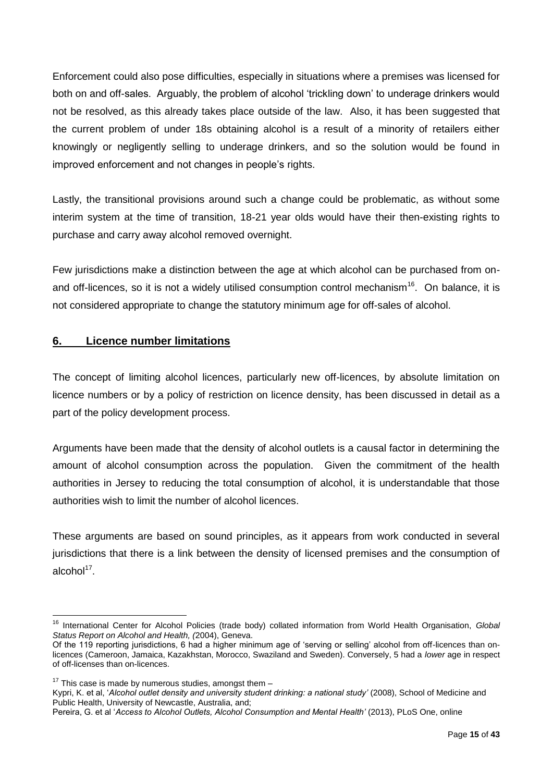Enforcement could also pose difficulties, especially in situations where a premises was licensed for both on and off-sales. Arguably, the problem of alcohol 'trickling down' to underage drinkers would not be resolved, as this already takes place outside of the law. Also, it has been suggested that the current problem of under 18s obtaining alcohol is a result of a minority of retailers either knowingly or negligently selling to underage drinkers, and so the solution would be found in improved enforcement and not changes in people's rights.

Lastly, the transitional provisions around such a change could be problematic, as without some interim system at the time of transition, 18-21 year olds would have their then-existing rights to purchase and carry away alcohol removed overnight.

Few jurisdictions make a distinction between the age at which alcohol can be purchased from onand off-licences, so it is not a widely utilised consumption control mechanism<sup>16</sup>. On balance, it is not considered appropriate to change the statutory minimum age for off-sales of alcohol.

# <span id="page-14-0"></span>**6. Licence number limitations**

The concept of limiting alcohol licences, particularly new off-licences, by absolute limitation on licence numbers or by a policy of restriction on licence density, has been discussed in detail as a part of the policy development process.

Arguments have been made that the density of alcohol outlets is a causal factor in determining the amount of alcohol consumption across the population. Given the commitment of the health authorities in Jersey to reducing the total consumption of alcohol, it is understandable that those authorities wish to limit the number of alcohol licences.

These arguments are based on sound principles, as it appears from work conducted in several jurisdictions that there is a link between the density of licensed premises and the consumption of alcohol<sup>17</sup>.

<sup>16</sup> International Center for Alcohol Policies (trade body) collated information from World Health Organisation, *Global Status Report on Alcohol and Health, (*2004), Geneva.

Of the 119 reporting jurisdictions, 6 had a higher minimum age of 'serving or selling' alcohol from off-licences than onlicences (Cameroon, Jamaica, Kazakhstan, Morocco, Swaziland and Sweden). Conversely, 5 had a *lower* age in respect of off-licenses than on-licences.

 $17$  This case is made by numerous studies, amongst them  $-$ 

[Kypri, K.](http://www.ncbi.nlm.nih.gov/pubmed?term=Kypri%20K%5BAuthor%5D&cauthor=true&cauthor_uid=18554346) et al, '*Alcohol outlet density and university student drinking: a national study'* (2008), School of Medicine and Public Health, University of Newcastle, Australia, and;

Pereira, G. et al '*Access to Alcohol Outlets, Alcohol Consumption and Mental Health'* (2013), PLoS One, online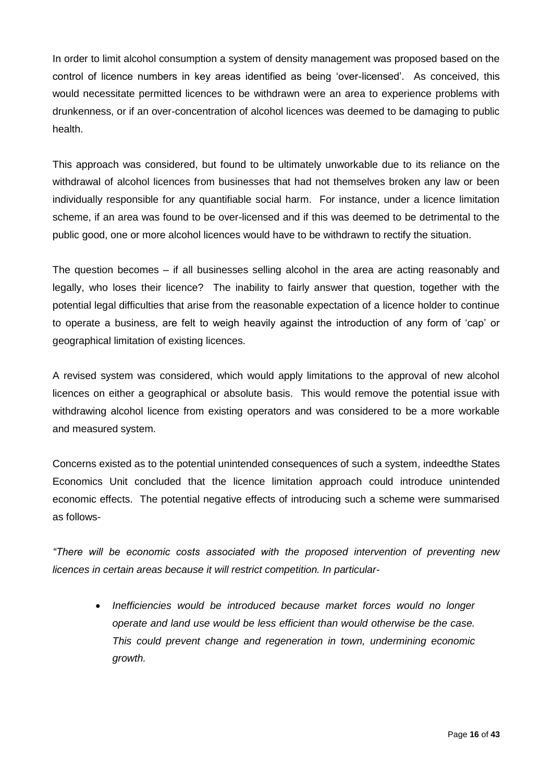In order to limit alcohol consumption a system of density management was proposed based on the control of licence numbers in key areas identified as being 'over-licensed'. As conceived, this would necessitate permitted licences to be withdrawn were an area to experience problems with drunkenness, or if an over-concentration of alcohol licences was deemed to be damaging to public health.

This approach was considered, but found to be ultimately unworkable due to its reliance on the withdrawal of alcohol licences from businesses that had not themselves broken any law or been individually responsible for any quantifiable social harm. For instance, under a licence limitation scheme, if an area was found to be over-licensed and if this was deemed to be detrimental to the public good, one or more alcohol licences would have to be withdrawn to rectify the situation.

The question becomes – if all businesses selling alcohol in the area are acting reasonably and legally, who loses their licence? The inability to fairly answer that question, together with the potential legal difficulties that arise from the reasonable expectation of a licence holder to continue to operate a business, are felt to weigh heavily against the introduction of any form of 'cap' or geographical limitation of existing licences.

A revised system was considered, which would apply limitations to the approval of new alcohol licences on either a geographical or absolute basis. This would remove the potential issue with withdrawing alcohol licence from existing operators and was considered to be a more workable and measured system.

Concerns existed as to the potential unintended consequences of such a system, indeedthe States Economics Unit concluded that the licence limitation approach could introduce unintended economic effects. The potential negative effects of introducing such a scheme were summarised as follows-

*"There will be economic costs associated with the proposed intervention of preventing new licences in certain areas because it will restrict competition. In particular-*

 *Inefficiencies would be introduced because market forces would no longer operate and land use would be less efficient than would otherwise be the case. This could prevent change and regeneration in town, undermining economic growth.*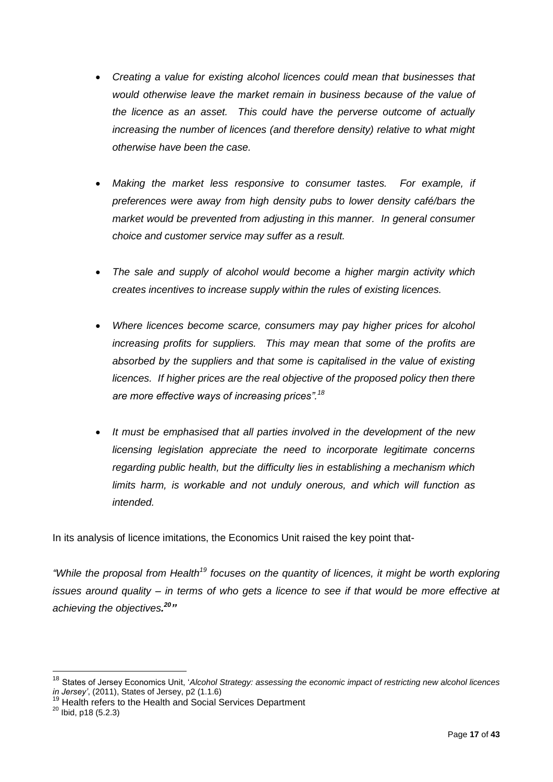- *Creating a value for existing alcohol licences could mean that businesses that would otherwise leave the market remain in business because of the value of the licence as an asset. This could have the perverse outcome of actually increasing the number of licences (and therefore density) relative to what might otherwise have been the case.*
- *Making the market less responsive to consumer tastes. For example, if preferences were away from high density pubs to lower density café/bars the market would be prevented from adjusting in this manner. In general consumer choice and customer service may suffer as a result.*
- *The sale and supply of alcohol would become a higher margin activity which creates incentives to increase supply within the rules of existing licences.*
- *Where licences become scarce, consumers may pay higher prices for alcohol increasing profits for suppliers. This may mean that some of the profits are absorbed by the suppliers and that some is capitalised in the value of existing licences. If higher prices are the real objective of the proposed policy then there are more effective ways of increasing prices".<sup>18</sup>*
- *It must be emphasised that all parties involved in the development of the new licensing legislation appreciate the need to incorporate legitimate concerns regarding public health, but the difficulty lies in establishing a mechanism which limits harm, is workable and not unduly onerous, and which will function as intended.*

In its analysis of licence imitations, the Economics Unit raised the key point that-

*"While the proposal from Health<sup>19</sup> focuses on the quantity of licences, it might be worth exploring issues around quality – in terms of who gets a licence to see if that would be more effective at achieving the objectives. <sup>20</sup>"*

<sup>18</sup> States of Jersey Economics Unit, '*Alcohol Strategy: assessing the economic impact of restricting new alcohol licences in Jersey'*, (2011), States of Jersey, p2 (1.1.6)

<sup>&</sup>lt;sup>19</sup> Health refers to the Health and Social Services Department

<sup>&</sup>lt;sup>20</sup> Ibid, p18 (5.2.3)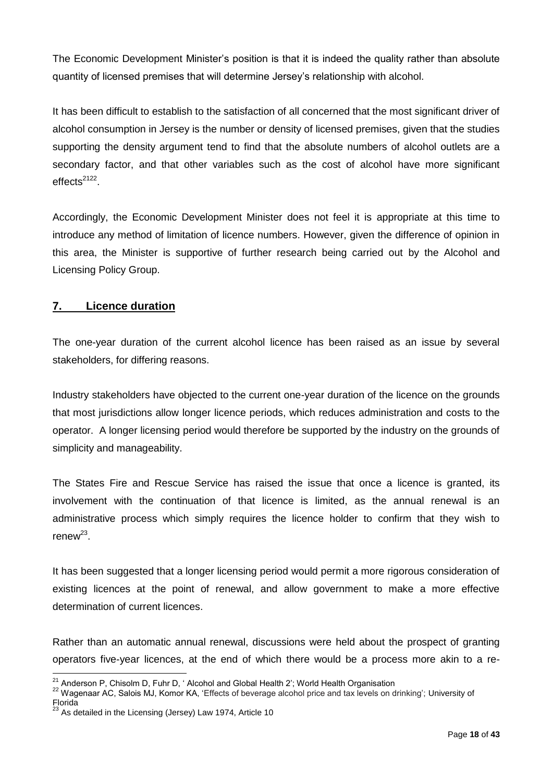The Economic Development Minister's position is that it is indeed the quality rather than absolute quantity of licensed premises that will determine Jersey's relationship with alcohol.

It has been difficult to establish to the satisfaction of all concerned that the most significant driver of alcohol consumption in Jersey is the number or density of licensed premises, given that the studies supporting the density argument tend to find that the absolute numbers of alcohol outlets are a secondary factor, and that other variables such as the cost of alcohol have more significant effects<sup>2122</sup>.

Accordingly, the Economic Development Minister does not feel it is appropriate at this time to introduce any method of limitation of licence numbers. However, given the difference of opinion in this area, the Minister is supportive of further research being carried out by the Alcohol and Licensing Policy Group.

# <span id="page-17-0"></span>**7. Licence duration**

The one-year duration of the current alcohol licence has been raised as an issue by several stakeholders, for differing reasons.

Industry stakeholders have objected to the current one-year duration of the licence on the grounds that most jurisdictions allow longer licence periods, which reduces administration and costs to the operator. A longer licensing period would therefore be supported by the industry on the grounds of simplicity and manageability.

The States Fire and Rescue Service has raised the issue that once a licence is granted, its involvement with the continuation of that licence is limited, as the annual renewal is an administrative process which simply requires the licence holder to confirm that they wish to  $r$ enew $^{23}$ .

It has been suggested that a longer licensing period would permit a more rigorous consideration of existing licences at the point of renewal, and allow government to make a more effective determination of current licences.

Rather than an automatic annual renewal, discussions were held about the prospect of granting operators five-year licences, at the end of which there would be a process more akin to a re-

 $\overline{a}$  $21$  Anderson P, Chisolm D, Fuhr D, ' Alcohol and Global Health 2'; World Health Organisation

<sup>22</sup> Wagenaar AC, Salois MJ, Komor KA, 'Effects of beverage alcohol price and tax levels on drinking'; University of Florida

 $^{23}$  As detailed in the Licensing (Jersey) Law 1974, Article 10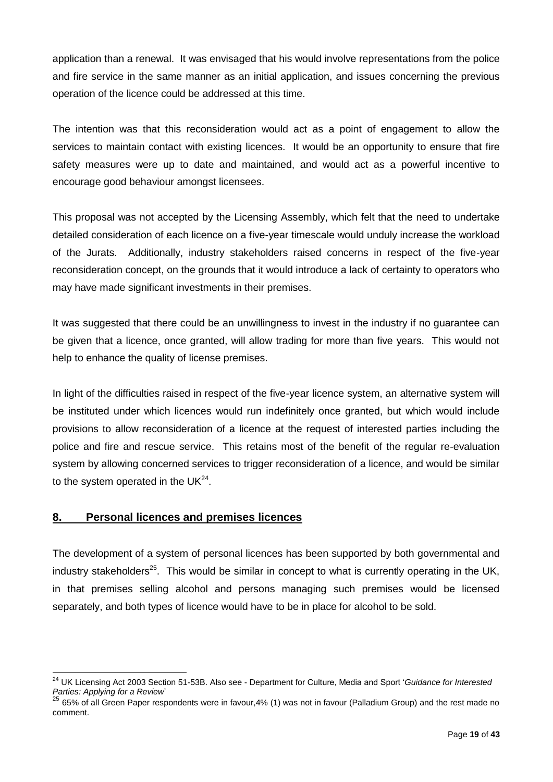application than a renewal. It was envisaged that his would involve representations from the police and fire service in the same manner as an initial application, and issues concerning the previous operation of the licence could be addressed at this time.

The intention was that this reconsideration would act as a point of engagement to allow the services to maintain contact with existing licences. It would be an opportunity to ensure that fire safety measures were up to date and maintained, and would act as a powerful incentive to encourage good behaviour amongst licensees.

This proposal was not accepted by the Licensing Assembly, which felt that the need to undertake detailed consideration of each licence on a five-year timescale would unduly increase the workload of the Jurats. Additionally, industry stakeholders raised concerns in respect of the five-year reconsideration concept, on the grounds that it would introduce a lack of certainty to operators who may have made significant investments in their premises.

It was suggested that there could be an unwillingness to invest in the industry if no guarantee can be given that a licence, once granted, will allow trading for more than five years. This would not help to enhance the quality of license premises.

In light of the difficulties raised in respect of the five-year licence system, an alternative system will be instituted under which licences would run indefinitely once granted, but which would include provisions to allow reconsideration of a licence at the request of interested parties including the police and fire and rescue service. This retains most of the benefit of the regular re-evaluation system by allowing concerned services to trigger reconsideration of a licence, and would be similar to the system operated in the UK $^{24}$ .

#### <span id="page-18-0"></span>**8. Personal licences and premises licences**

The development of a system of personal licences has been supported by both governmental and industry stakeholders<sup>25</sup>. This would be similar in concept to what is currently operating in the UK, in that premises selling alcohol and persons managing such premises would be licensed separately, and both types of licence would have to be in place for alcohol to be sold.

 $\overline{a}$ <sup>24</sup> UK Licensing Act 2003 Section 51-53B. Also see - Department for Culture, Media and Sport '*Guidance for Interested Parties: Applying for a Review*'

<sup>25</sup> 65% of all Green Paper respondents were in favour,4% (1) was not in favour (Palladium Group) and the rest made no comment.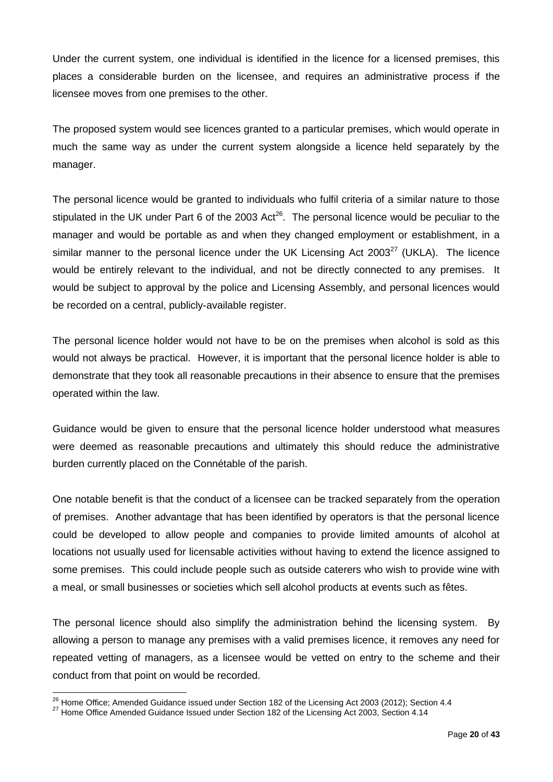Under the current system, one individual is identified in the licence for a licensed premises, this places a considerable burden on the licensee, and requires an administrative process if the licensee moves from one premises to the other.

The proposed system would see licences granted to a particular premises, which would operate in much the same way as under the current system alongside a licence held separately by the manager.

The personal licence would be granted to individuals who fulfil criteria of a similar nature to those stipulated in the UK under Part 6 of the 2003 Act<sup>26</sup>. The personal licence would be peculiar to the manager and would be portable as and when they changed employment or establishment, in a similar manner to the personal licence under the UK Licensing Act 2003 $^{27}$  (UKLA). The licence would be entirely relevant to the individual, and not be directly connected to any premises. It would be subject to approval by the police and Licensing Assembly, and personal licences would be recorded on a central, publicly-available register.

The personal licence holder would not have to be on the premises when alcohol is sold as this would not always be practical. However, it is important that the personal licence holder is able to demonstrate that they took all reasonable precautions in their absence to ensure that the premises operated within the law.

Guidance would be given to ensure that the personal licence holder understood what measures were deemed as reasonable precautions and ultimately this should reduce the administrative burden currently placed on the Connétable of the parish.

One notable benefit is that the conduct of a licensee can be tracked separately from the operation of premises. Another advantage that has been identified by operators is that the personal licence could be developed to allow people and companies to provide limited amounts of alcohol at locations not usually used for licensable activities without having to extend the licence assigned to some premises. This could include people such as outside caterers who wish to provide wine with a meal, or small businesses or societies which sell alcohol products at events such as fêtes.

The personal licence should also simplify the administration behind the licensing system. By allowing a person to manage any premises with a valid premises licence, it removes any need for repeated vetting of managers, as a licensee would be vetted on entry to the scheme and their conduct from that point on would be recorded.

 $^{26}$  Home Office; Amended Guidance issued under Section 182 of the Licensing Act 2003 (2012); Section 4.4

 $^{27}$  Home Office Amended Guidance Issued under Section 182 of the Licensing Act 2003, Section 4.14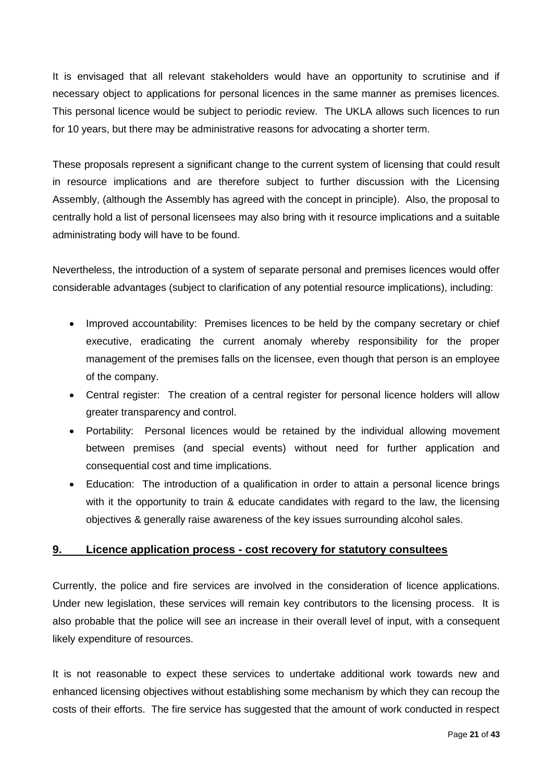It is envisaged that all relevant stakeholders would have an opportunity to scrutinise and if necessary object to applications for personal licences in the same manner as premises licences. This personal licence would be subject to periodic review. The UKLA allows such licences to run for 10 years, but there may be administrative reasons for advocating a shorter term.

These proposals represent a significant change to the current system of licensing that could result in resource implications and are therefore subject to further discussion with the Licensing Assembly, (although the Assembly has agreed with the concept in principle). Also, the proposal to centrally hold a list of personal licensees may also bring with it resource implications and a suitable administrating body will have to be found.

Nevertheless, the introduction of a system of separate personal and premises licences would offer considerable advantages (subject to clarification of any potential resource implications), including:

- Improved accountability: Premises licences to be held by the company secretary or chief executive, eradicating the current anomaly whereby responsibility for the proper management of the premises falls on the licensee, even though that person is an employee of the company.
- Central register: The creation of a central register for personal licence holders will allow greater transparency and control.
- Portability: Personal licences would be retained by the individual allowing movement between premises (and special events) without need for further application and consequential cost and time implications.
- Education: The introduction of a qualification in order to attain a personal licence brings with it the opportunity to train & educate candidates with regard to the law, the licensing objectives & generally raise awareness of the key issues surrounding alcohol sales.

#### <span id="page-20-0"></span>**9. Licence application process - cost recovery for statutory consultees**

Currently, the police and fire services are involved in the consideration of licence applications. Under new legislation, these services will remain key contributors to the licensing process. It is also probable that the police will see an increase in their overall level of input, with a consequent likely expenditure of resources.

It is not reasonable to expect these services to undertake additional work towards new and enhanced licensing objectives without establishing some mechanism by which they can recoup the costs of their efforts. The fire service has suggested that the amount of work conducted in respect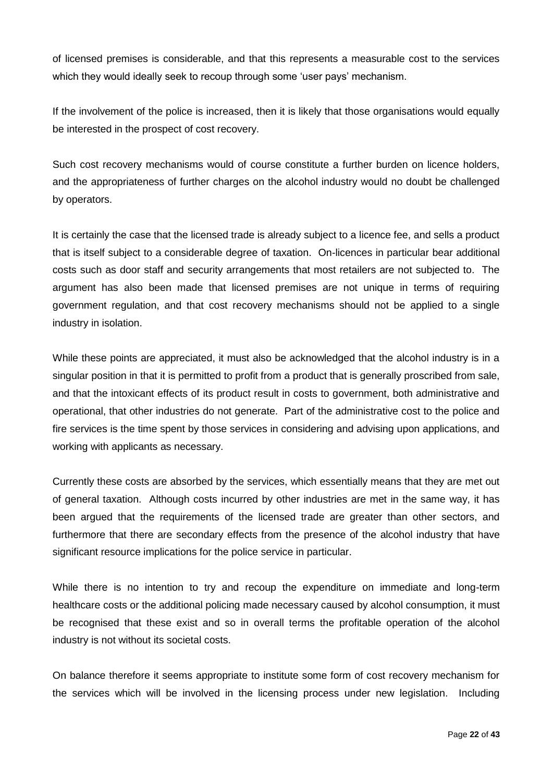of licensed premises is considerable, and that this represents a measurable cost to the services which they would ideally seek to recoup through some 'user pays' mechanism.

If the involvement of the police is increased, then it is likely that those organisations would equally be interested in the prospect of cost recovery.

Such cost recovery mechanisms would of course constitute a further burden on licence holders, and the appropriateness of further charges on the alcohol industry would no doubt be challenged by operators.

It is certainly the case that the licensed trade is already subject to a licence fee, and sells a product that is itself subject to a considerable degree of taxation. On-licences in particular bear additional costs such as door staff and security arrangements that most retailers are not subjected to. The argument has also been made that licensed premises are not unique in terms of requiring government regulation, and that cost recovery mechanisms should not be applied to a single industry in isolation.

While these points are appreciated, it must also be acknowledged that the alcohol industry is in a singular position in that it is permitted to profit from a product that is generally proscribed from sale, and that the intoxicant effects of its product result in costs to government, both administrative and operational, that other industries do not generate. Part of the administrative cost to the police and fire services is the time spent by those services in considering and advising upon applications, and working with applicants as necessary.

Currently these costs are absorbed by the services, which essentially means that they are met out of general taxation. Although costs incurred by other industries are met in the same way, it has been argued that the requirements of the licensed trade are greater than other sectors, and furthermore that there are secondary effects from the presence of the alcohol industry that have significant resource implications for the police service in particular.

While there is no intention to try and recoup the expenditure on immediate and long-term healthcare costs or the additional policing made necessary caused by alcohol consumption, it must be recognised that these exist and so in overall terms the profitable operation of the alcohol industry is not without its societal costs.

On balance therefore it seems appropriate to institute some form of cost recovery mechanism for the services which will be involved in the licensing process under new legislation. Including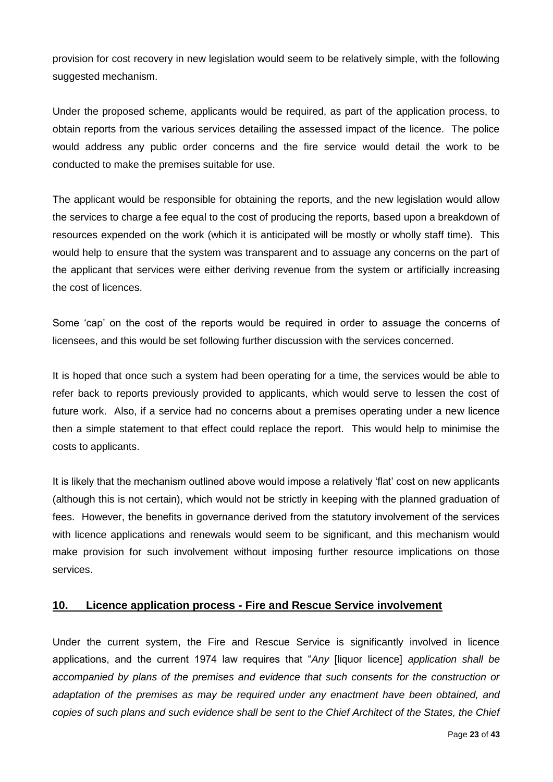provision for cost recovery in new legislation would seem to be relatively simple, with the following suggested mechanism.

Under the proposed scheme, applicants would be required, as part of the application process, to obtain reports from the various services detailing the assessed impact of the licence. The police would address any public order concerns and the fire service would detail the work to be conducted to make the premises suitable for use.

The applicant would be responsible for obtaining the reports, and the new legislation would allow the services to charge a fee equal to the cost of producing the reports, based upon a breakdown of resources expended on the work (which it is anticipated will be mostly or wholly staff time). This would help to ensure that the system was transparent and to assuage any concerns on the part of the applicant that services were either deriving revenue from the system or artificially increasing the cost of licences.

Some 'cap' on the cost of the reports would be required in order to assuage the concerns of licensees, and this would be set following further discussion with the services concerned.

It is hoped that once such a system had been operating for a time, the services would be able to refer back to reports previously provided to applicants, which would serve to lessen the cost of future work. Also, if a service had no concerns about a premises operating under a new licence then a simple statement to that effect could replace the report. This would help to minimise the costs to applicants.

It is likely that the mechanism outlined above would impose a relatively 'flat' cost on new applicants (although this is not certain), which would not be strictly in keeping with the planned graduation of fees. However, the benefits in governance derived from the statutory involvement of the services with licence applications and renewals would seem to be significant, and this mechanism would make provision for such involvement without imposing further resource implications on those services.

#### <span id="page-22-0"></span>**10. Licence application process - Fire and Rescue Service involvement**

Under the current system, the Fire and Rescue Service is significantly involved in licence applications, and the current 1974 law requires that "*Any* [liquor licence] *application shall be accompanied by plans of the premises and evidence that such consents for the construction or adaptation of the premises as may be required under any enactment have been obtained, and copies of such plans and such evidence shall be sent to the Chief Architect of the States, the Chief*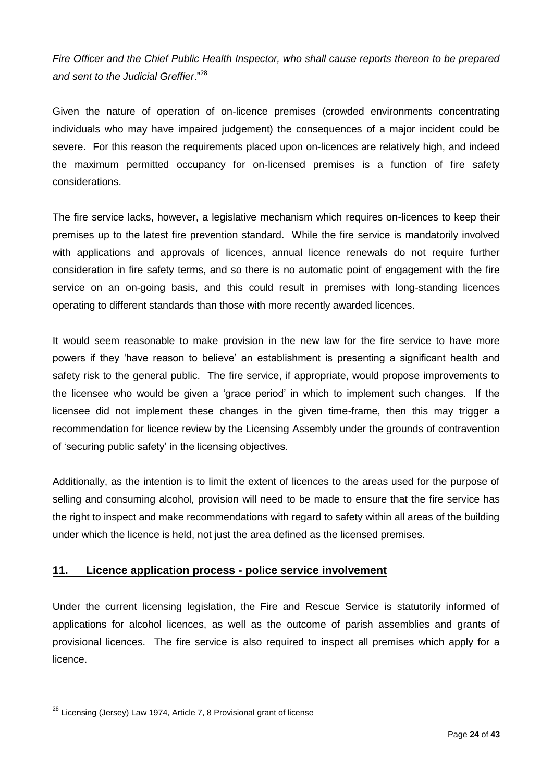*Fire Officer and the Chief Public Health Inspector, who shall cause reports thereon to be prepared and sent to the Judicial Greffier*."<sup>28</sup>

Given the nature of operation of on-licence premises (crowded environments concentrating individuals who may have impaired judgement) the consequences of a major incident could be severe. For this reason the requirements placed upon on-licences are relatively high, and indeed the maximum permitted occupancy for on-licensed premises is a function of fire safety considerations.

The fire service lacks, however, a legislative mechanism which requires on-licences to keep their premises up to the latest fire prevention standard. While the fire service is mandatorily involved with applications and approvals of licences, annual licence renewals do not require further consideration in fire safety terms, and so there is no automatic point of engagement with the fire service on an on-going basis, and this could result in premises with long-standing licences operating to different standards than those with more recently awarded licences.

It would seem reasonable to make provision in the new law for the fire service to have more powers if they 'have reason to believe' an establishment is presenting a significant health and safety risk to the general public. The fire service, if appropriate, would propose improvements to the licensee who would be given a 'grace period' in which to implement such changes. If the licensee did not implement these changes in the given time-frame, then this may trigger a recommendation for licence review by the Licensing Assembly under the grounds of contravention of 'securing public safety' in the licensing objectives.

Additionally, as the intention is to limit the extent of licences to the areas used for the purpose of selling and consuming alcohol, provision will need to be made to ensure that the fire service has the right to inspect and make recommendations with regard to safety within all areas of the building under which the licence is held, not just the area defined as the licensed premises.

#### <span id="page-23-0"></span>**11. Licence application process - police service involvement**

Under the current licensing legislation, the Fire and Rescue Service is statutorily informed of applications for alcohol licences, as well as the outcome of parish assemblies and grants of provisional licences. The fire service is also required to inspect all premises which apply for a licence.

 $\overline{a}$  $^{28}$  Licensing (Jersey) Law 1974, Article 7, 8 Provisional grant of license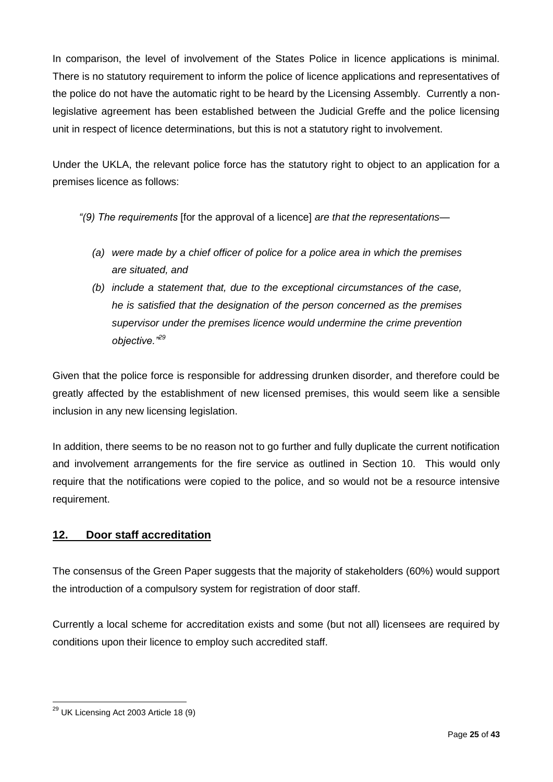In comparison, the level of involvement of the States Police in licence applications is minimal. There is no statutory requirement to inform the police of licence applications and representatives of the police do not have the automatic right to be heard by the Licensing Assembly. Currently a nonlegislative agreement has been established between the Judicial Greffe and the police licensing unit in respect of licence determinations, but this is not a statutory right to involvement.

Under the UKLA, the relevant police force has the statutory right to object to an application for a premises licence as follows:

- *"(9) The requirements* [for the approval of a licence] *are that the representations—*
	- *(a) were made by a chief officer of police for a police area in which the premises are situated, and*
	- *(b) include a statement that, due to the exceptional circumstances of the case, he is satisfied that the designation of the person concerned as the premises supervisor under the premises licence would undermine the crime prevention objective."<sup>29</sup>*

Given that the police force is responsible for addressing drunken disorder, and therefore could be greatly affected by the establishment of new licensed premises, this would seem like a sensible inclusion in any new licensing legislation.

In addition, there seems to be no reason not to go further and fully duplicate the current notification and involvement arrangements for the fire service as outlined in Section 10. This would only require that the notifications were copied to the police, and so would not be a resource intensive requirement.

# <span id="page-24-0"></span>**12. Door staff accreditation**

The consensus of the Green Paper suggests that the majority of stakeholders (60%) would support the introduction of a compulsory system for registration of door staff.

Currently a local scheme for accreditation exists and some (but not all) licensees are required by conditions upon their licence to employ such accredited staff.

 $\overline{a}$ <sup>29</sup> UK Licensing Act 2003 Article 18 (9)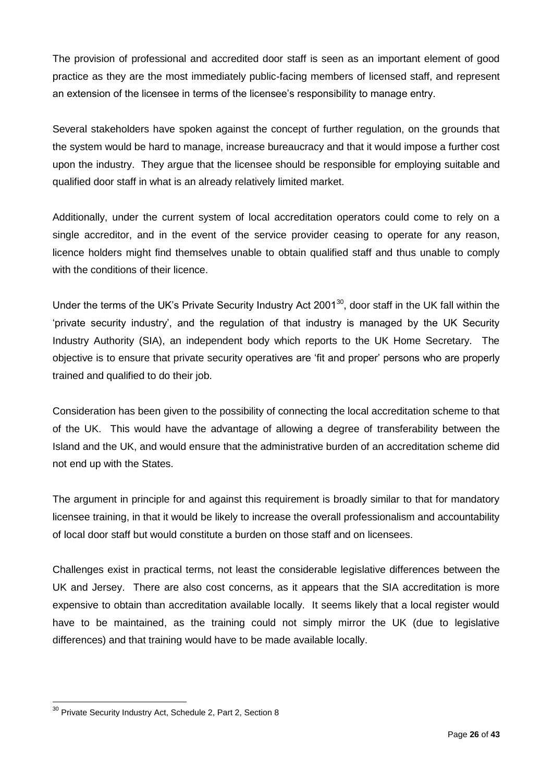The provision of professional and accredited door staff is seen as an important element of good practice as they are the most immediately public-facing members of licensed staff, and represent an extension of the licensee in terms of the licensee's responsibility to manage entry.

Several stakeholders have spoken against the concept of further regulation, on the grounds that the system would be hard to manage, increase bureaucracy and that it would impose a further cost upon the industry. They argue that the licensee should be responsible for employing suitable and qualified door staff in what is an already relatively limited market.

Additionally, under the current system of local accreditation operators could come to rely on a single accreditor, and in the event of the service provider ceasing to operate for any reason, licence holders might find themselves unable to obtain qualified staff and thus unable to comply with the conditions of their licence.

Under the terms of the UK's Private Security Industry Act 2001<sup>30</sup>, door staff in the UK fall within the 'private security industry', and the regulation of that industry is managed by the UK Security Industry Authority (SIA), an independent body which reports to the UK Home Secretary. The objective is to ensure that private security operatives are 'fit and proper' persons who are properly trained and qualified to do their job.

Consideration has been given to the possibility of connecting the local accreditation scheme to that of the UK. This would have the advantage of allowing a degree of transferability between the Island and the UK, and would ensure that the administrative burden of an accreditation scheme did not end up with the States.

The argument in principle for and against this requirement is broadly similar to that for mandatory licensee training, in that it would be likely to increase the overall professionalism and accountability of local door staff but would constitute a burden on those staff and on licensees.

Challenges exist in practical terms, not least the considerable legislative differences between the UK and Jersey. There are also cost concerns, as it appears that the SIA accreditation is more expensive to obtain than accreditation available locally. It seems likely that a local register would have to be maintained, as the training could not simply mirror the UK (due to legislative differences) and that training would have to be made available locally.

 $30$  Private Security Industry Act, Schedule 2, Part 2, Section 8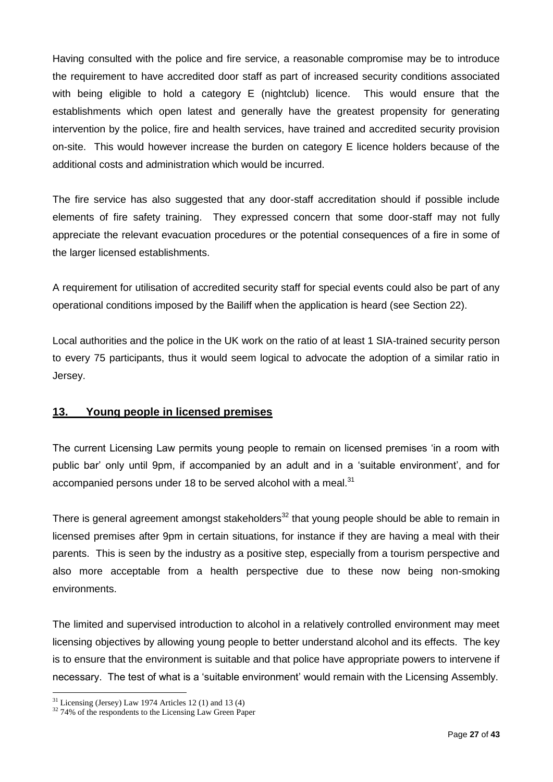Having consulted with the police and fire service, a reasonable compromise may be to introduce the requirement to have accredited door staff as part of increased security conditions associated with being eligible to hold a category E (nightclub) licence. This would ensure that the establishments which open latest and generally have the greatest propensity for generating intervention by the police, fire and health services, have trained and accredited security provision on-site. This would however increase the burden on category E licence holders because of the additional costs and administration which would be incurred.

The fire service has also suggested that any door-staff accreditation should if possible include elements of fire safety training. They expressed concern that some door-staff may not fully appreciate the relevant evacuation procedures or the potential consequences of a fire in some of the larger licensed establishments.

A requirement for utilisation of accredited security staff for special events could also be part of any operational conditions imposed by the Bailiff when the application is heard (see Section 22).

Local authorities and the police in the UK work on the ratio of at least 1 SIA-trained security person to every 75 participants, thus it would seem logical to advocate the adoption of a similar ratio in Jersey.

#### <span id="page-26-0"></span>**13. Young people in licensed premises**

The current Licensing Law permits young people to remain on licensed premises 'in a room with public bar' only until 9pm, if accompanied by an adult and in a 'suitable environment', and for accompanied persons under 18 to be served alcohol with a meal.<sup>31</sup>

There is general agreement amongst stakeholders<sup>32</sup> that young people should be able to remain in licensed premises after 9pm in certain situations, for instance if they are having a meal with their parents. This is seen by the industry as a positive step, especially from a tourism perspective and also more acceptable from a health perspective due to these now being non-smoking environments.

The limited and supervised introduction to alcohol in a relatively controlled environment may meet licensing objectives by allowing young people to better understand alcohol and its effects. The key is to ensure that the environment is suitable and that police have appropriate powers to intervene if necessary. The test of what is a 'suitable environment' would remain with the Licensing Assembly.

 $31$  Licensing (Jersey) Law 1974 Articles 12 (1) and 13 (4)

 $32$  74% of the respondents to the Licensing Law Green Paper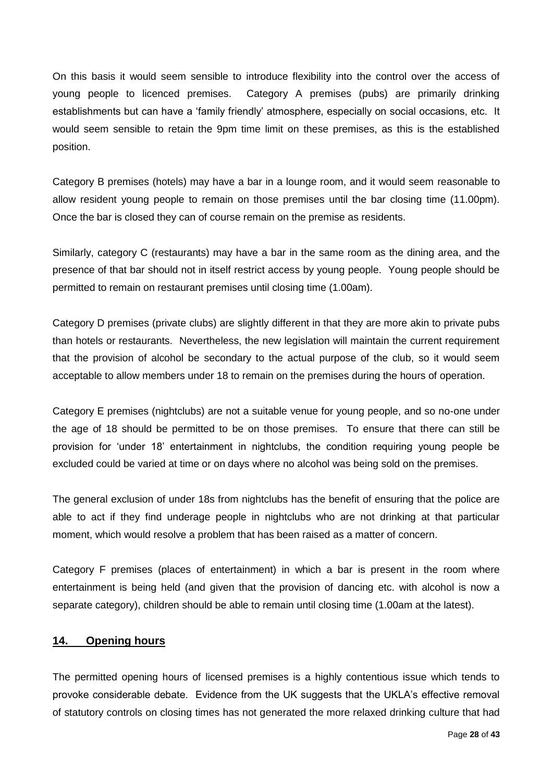On this basis it would seem sensible to introduce flexibility into the control over the access of young people to licenced premises. Category A premises (pubs) are primarily drinking establishments but can have a 'family friendly' atmosphere, especially on social occasions, etc. It would seem sensible to retain the 9pm time limit on these premises, as this is the established position.

Category B premises (hotels) may have a bar in a lounge room, and it would seem reasonable to allow resident young people to remain on those premises until the bar closing time (11.00pm). Once the bar is closed they can of course remain on the premise as residents.

Similarly, category C (restaurants) may have a bar in the same room as the dining area, and the presence of that bar should not in itself restrict access by young people. Young people should be permitted to remain on restaurant premises until closing time (1.00am).

Category D premises (private clubs) are slightly different in that they are more akin to private pubs than hotels or restaurants. Nevertheless, the new legislation will maintain the current requirement that the provision of alcohol be secondary to the actual purpose of the club, so it would seem acceptable to allow members under 18 to remain on the premises during the hours of operation.

Category E premises (nightclubs) are not a suitable venue for young people, and so no-one under the age of 18 should be permitted to be on those premises. To ensure that there can still be provision for 'under 18' entertainment in nightclubs, the condition requiring young people be excluded could be varied at time or on days where no alcohol was being sold on the premises.

The general exclusion of under 18s from nightclubs has the benefit of ensuring that the police are able to act if they find underage people in nightclubs who are not drinking at that particular moment, which would resolve a problem that has been raised as a matter of concern.

Category F premises (places of entertainment) in which a bar is present in the room where entertainment is being held (and given that the provision of dancing etc. with alcohol is now a separate category), children should be able to remain until closing time (1.00am at the latest).

#### <span id="page-27-0"></span>**14. Opening hours**

The permitted opening hours of licensed premises is a highly contentious issue which tends to provoke considerable debate. Evidence from the UK suggests that the UKLA's effective removal of statutory controls on closing times has not generated the more relaxed drinking culture that had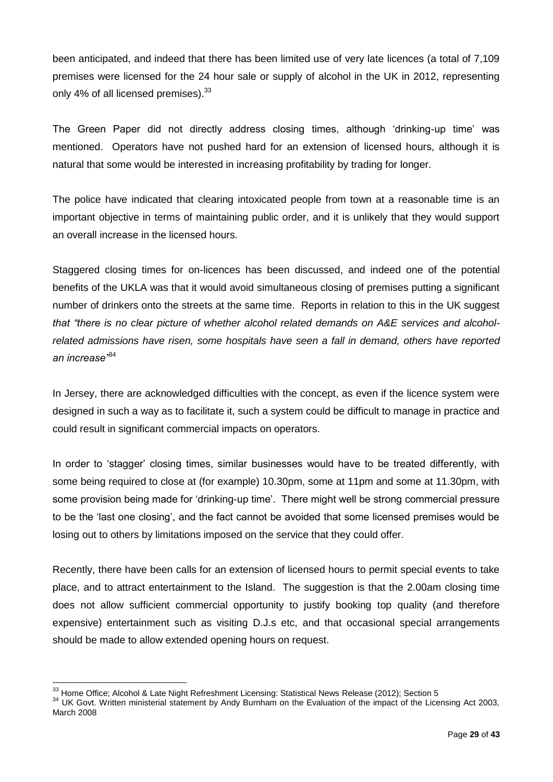been anticipated, and indeed that there has been limited use of very late licences (a total of 7,109 premises were licensed for the 24 hour sale or supply of alcohol in the UK in 2012, representing only 4% of all licensed premises).<sup>33</sup>

The Green Paper did not directly address closing times, although 'drinking-up time' was mentioned. Operators have not pushed hard for an extension of licensed hours, although it is natural that some would be interested in increasing profitability by trading for longer.

The police have indicated that clearing intoxicated people from town at a reasonable time is an important objective in terms of maintaining public order, and it is unlikely that they would support an overall increase in the licensed hours.

Staggered closing times for on-licences has been discussed, and indeed one of the potential benefits of the UKLA was that it would avoid simultaneous closing of premises putting a significant number of drinkers onto the streets at the same time. Reports in relation to this in the UK suggest *that "there is no clear picture of whether alcohol related demands on A&E services and alcoholrelated admissions have risen, some hospitals have seen a fall in demand, others have reported an increase"*<sup>34</sup>

In Jersey, there are acknowledged difficulties with the concept, as even if the licence system were designed in such a way as to facilitate it, such a system could be difficult to manage in practice and could result in significant commercial impacts on operators.

In order to 'stagger' closing times, similar businesses would have to be treated differently, with some being required to close at (for example) 10.30pm, some at 11pm and some at 11.30pm, with some provision being made for 'drinking-up time'. There might well be strong commercial pressure to be the 'last one closing', and the fact cannot be avoided that some licensed premises would be losing out to others by limitations imposed on the service that they could offer.

Recently, there have been calls for an extension of licensed hours to permit special events to take place, and to attract entertainment to the Island. The suggestion is that the 2.00am closing time does not allow sufficient commercial opportunity to justify booking top quality (and therefore expensive) entertainment such as visiting D.J.s etc, and that occasional special arrangements should be made to allow extended opening hours on request.

 $33$  Home Office; Alcohol & Late Night Refreshment Licensing: Statistical News Release (2012); Section 5

<sup>&</sup>lt;sup>34</sup> UK Govt. Written ministerial statement by Andy Burnham on the Evaluation of the impact of the Licensing Act 2003, March 2008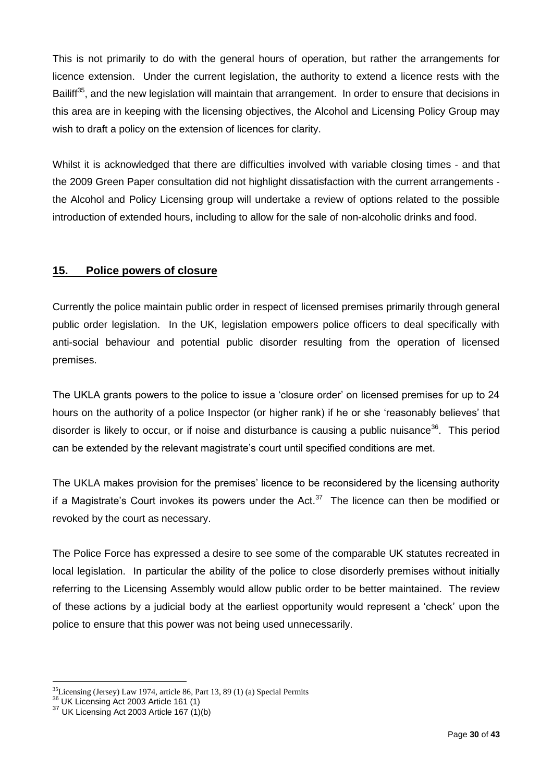This is not primarily to do with the general hours of operation, but rather the arrangements for licence extension. Under the current legislation, the authority to extend a licence rests with the Bailiff<sup>35</sup>, and the new legislation will maintain that arrangement. In order to ensure that decisions in this area are in keeping with the licensing objectives, the Alcohol and Licensing Policy Group may wish to draft a policy on the extension of licences for clarity.

Whilst it is acknowledged that there are difficulties involved with variable closing times - and that the 2009 Green Paper consultation did not highlight dissatisfaction with the current arrangements the Alcohol and Policy Licensing group will undertake a review of options related to the possible introduction of extended hours, including to allow for the sale of non-alcoholic drinks and food.

#### <span id="page-29-0"></span>**15. Police powers of closure**

Currently the police maintain public order in respect of licensed premises primarily through general public order legislation. In the UK, legislation empowers police officers to deal specifically with anti-social behaviour and potential public disorder resulting from the operation of licensed premises.

The UKLA grants powers to the police to issue a 'closure order' on licensed premises for up to 24 hours on the authority of a police Inspector (or higher rank) if he or she 'reasonably believes' that disorder is likely to occur, or if noise and disturbance is causing a public nuisance<sup>36</sup>. This period can be extended by the relevant magistrate's court until specified conditions are met.

The UKLA makes provision for the premises' licence to be reconsidered by the licensing authority if a Magistrate's Court invokes its powers under the Act.<sup>37</sup> The licence can then be modified or revoked by the court as necessary.

The Police Force has expressed a desire to see some of the comparable UK statutes recreated in local legislation. In particular the ability of the police to close disorderly premises without initially referring to the Licensing Assembly would allow public order to be better maintained. The review of these actions by a judicial body at the earliest opportunity would represent a 'check' upon the police to ensure that this power was not being used unnecessarily.

 $35$ Licensing (Jersey) Law 1974, article 86, Part 13, 89 (1) (a) Special Permits

<sup>&</sup>lt;sup>36</sup> UK Licensing Act 2003 Article 161 (1)

 $37$  UK Licensing Act 2003 Article 167 (1)(b)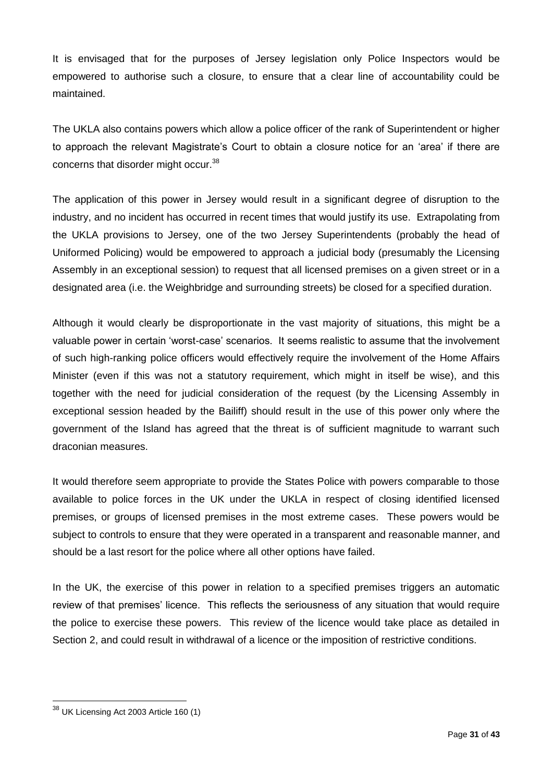It is envisaged that for the purposes of Jersey legislation only Police Inspectors would be empowered to authorise such a closure, to ensure that a clear line of accountability could be maintained.

The UKLA also contains powers which allow a police officer of the rank of Superintendent or higher to approach the relevant Magistrate's Court to obtain a closure notice for an 'area' if there are concerns that disorder might occur.<sup>38</sup>

The application of this power in Jersey would result in a significant degree of disruption to the industry, and no incident has occurred in recent times that would justify its use. Extrapolating from the UKLA provisions to Jersey, one of the two Jersey Superintendents (probably the head of Uniformed Policing) would be empowered to approach a judicial body (presumably the Licensing Assembly in an exceptional session) to request that all licensed premises on a given street or in a designated area (i.e. the Weighbridge and surrounding streets) be closed for a specified duration.

Although it would clearly be disproportionate in the vast majority of situations, this might be a valuable power in certain 'worst-case' scenarios. It seems realistic to assume that the involvement of such high-ranking police officers would effectively require the involvement of the [Home Affairs](http://www.gov.je/HomeAffairs) Minister (even if this was not a statutory requirement, which might in itself be wise), and this together with the need for judicial consideration of the request (by the Licensing Assembly in exceptional session headed by the Bailiff) should result in the use of this power only where the government of the Island has agreed that the threat is of sufficient magnitude to warrant such draconian measures.

It would therefore seem appropriate to provide the States Police with powers comparable to those available to police forces in the UK under the UKLA in respect of closing identified licensed premises, or groups of licensed premises in the most extreme cases. These powers would be subject to controls to ensure that they were operated in a transparent and reasonable manner, and should be a last resort for the police where all other options have failed.

In the UK, the exercise of this power in relation to a specified premises triggers an automatic review of that premises' licence. This reflects the seriousness of any situation that would require the police to exercise these powers. This review of the licence would take place as detailed in Section 2, and could result in withdrawal of a licence or the imposition of restrictive conditions.

<sup>&</sup>lt;sup>38</sup> UK Licensing Act 2003 Article 160 (1)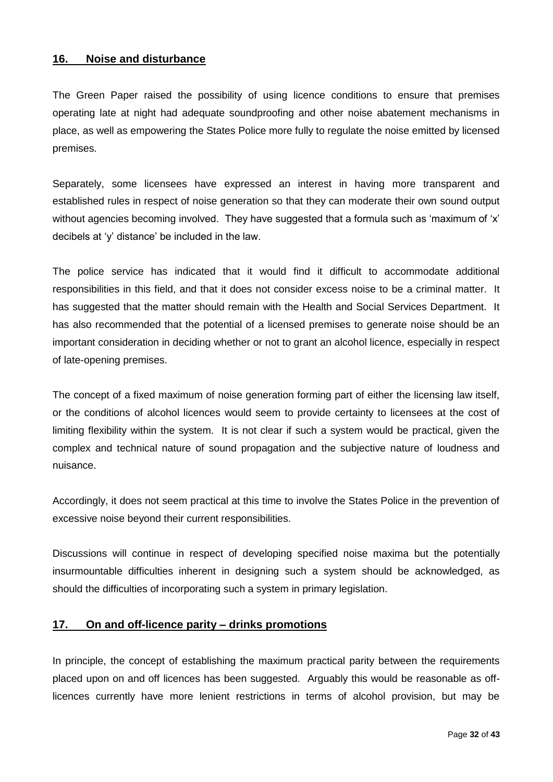#### <span id="page-31-0"></span>**16. Noise and disturbance**

The Green Paper raised the possibility of using licence conditions to ensure that premises operating late at night had adequate soundproofing and other noise abatement mechanisms in place, as well as empowering the States Police more fully to regulate the noise emitted by licensed premises.

Separately, some licensees have expressed an interest in having more transparent and established rules in respect of noise generation so that they can moderate their own sound output without agencies becoming involved. They have suggested that a formula such as 'maximum of 'x' decibels at 'y' distance' be included in the law.

The police service has indicated that it would find it difficult to accommodate additional responsibilities in this field, and that it does not consider excess noise to be a criminal matter. It has suggested that the matter should remain with the Health and Social Services Department. It has also recommended that the potential of a licensed premises to generate noise should be an important consideration in deciding whether or not to grant an alcohol licence, especially in respect of late-opening premises.

The concept of a fixed maximum of noise generation forming part of either the licensing law itself, or the conditions of alcohol licences would seem to provide certainty to licensees at the cost of limiting flexibility within the system. It is not clear if such a system would be practical, given the complex and technical nature of sound propagation and the subjective nature of loudness and nuisance.

Accordingly, it does not seem practical at this time to involve the States Police in the prevention of excessive noise beyond their current responsibilities.

Discussions will continue in respect of developing specified noise maxima but the potentially insurmountable difficulties inherent in designing such a system should be acknowledged, as should the difficulties of incorporating such a system in primary legislation.

#### <span id="page-31-1"></span>**17. On and off-licence parity – drinks promotions**

In principle, the concept of establishing the maximum practical parity between the requirements placed upon on and off licences has been suggested. Arguably this would be reasonable as offlicences currently have more lenient restrictions in terms of alcohol provision, but may be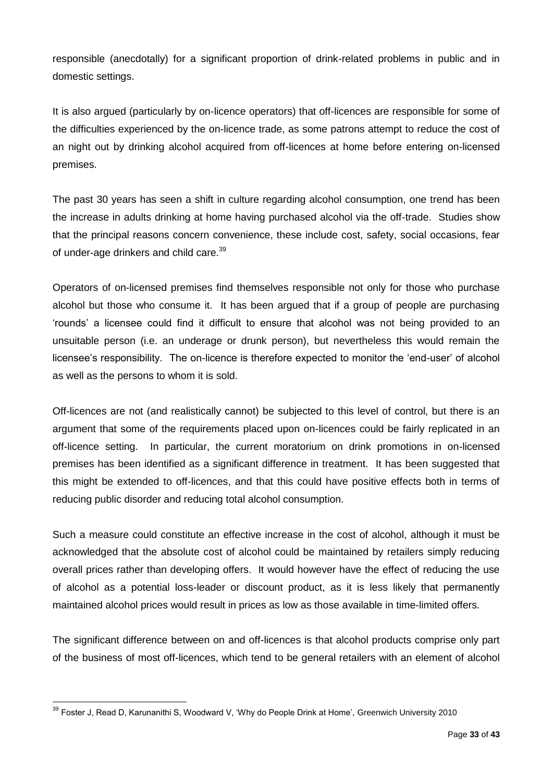responsible (anecdotally) for a significant proportion of drink-related problems in public and in domestic settings.

It is also argued (particularly by on-licence operators) that off-licences are responsible for some of the difficulties experienced by the on-licence trade, as some patrons attempt to reduce the cost of an night out by drinking alcohol acquired from off-licences at home before entering on-licensed premises.

The past 30 years has seen a shift in culture regarding alcohol consumption, one trend has been the increase in adults drinking at home having purchased alcohol via the off-trade. Studies show that the principal reasons concern convenience, these include cost, safety, social occasions, fear of under-age drinkers and child care.<sup>39</sup>

Operators of on-licensed premises find themselves responsible not only for those who purchase alcohol but those who consume it. It has been argued that if a group of people are purchasing 'rounds' a licensee could find it difficult to ensure that alcohol was not being provided to an unsuitable person (i.e. an underage or drunk person), but nevertheless this would remain the licensee's responsibility. The on-licence is therefore expected to monitor the 'end-user' of alcohol as well as the persons to whom it is sold.

Off-licences are not (and realistically cannot) be subjected to this level of control, but there is an argument that some of the requirements placed upon on-licences could be fairly replicated in an off-licence setting. In particular, the current moratorium on drink promotions in on-licensed premises has been identified as a significant difference in treatment. It has been suggested that this might be extended to off-licences, and that this could have positive effects both in terms of reducing public disorder and reducing total alcohol consumption.

Such a measure could constitute an effective increase in the cost of alcohol, although it must be acknowledged that the absolute cost of alcohol could be maintained by retailers simply reducing overall prices rather than developing offers. It would however have the effect of reducing the use of alcohol as a potential loss-leader or discount product, as it is less likely that permanently maintained alcohol prices would result in prices as low as those available in time-limited offers.

The significant difference between on and off-licences is that alcohol products comprise only part of the business of most off-licences, which tend to be general retailers with an element of alcohol

 $\overline{a}$  $^{39}$  Foster J, Read D, Karunanithi S, Woodward V, 'Why do People Drink at Home', Greenwich University 2010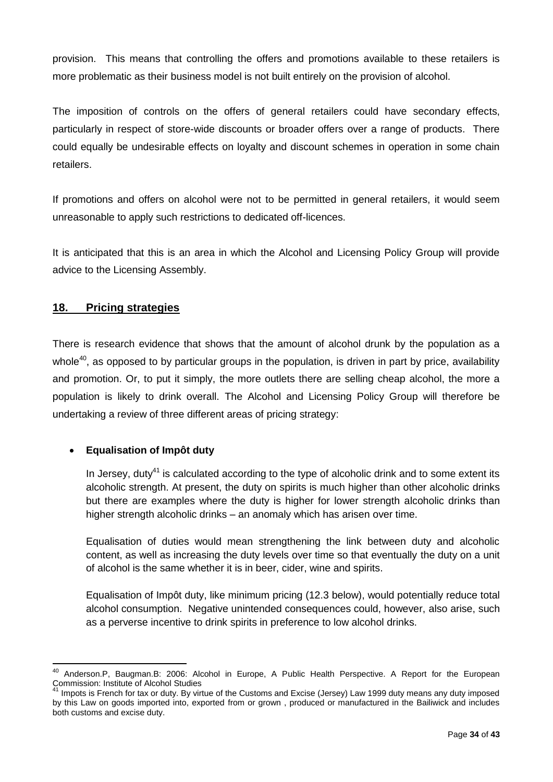provision. This means that controlling the offers and promotions available to these retailers is more problematic as their business model is not built entirely on the provision of alcohol.

The imposition of controls on the offers of general retailers could have secondary effects, particularly in respect of store-wide discounts or broader offers over a range of products. There could equally be undesirable effects on loyalty and discount schemes in operation in some chain retailers.

If promotions and offers on alcohol were not to be permitted in general retailers, it would seem unreasonable to apply such restrictions to dedicated off-licences.

It is anticipated that this is an area in which the Alcohol and Licensing Policy Group will provide advice to the Licensing Assembly.

# <span id="page-33-0"></span>**18. Pricing strategies**

There is research evidence that shows that the amount of alcohol drunk by the population as a whole<sup>40</sup>, as opposed to by particular groups in the population, is driven in part by price, availability and promotion. Or, to put it simply, the more outlets there are selling cheap alcohol, the more a population is likely to drink overall. The Alcohol and Licensing Policy Group will therefore be undertaking a review of three different areas of pricing strategy:

#### **Equalisation of Impôt duty**

 $\overline{a}$ 

In Jersey, dutv $41$  is calculated according to the type of alcoholic drink and to some extent its alcoholic strength. At present, the duty on spirits is much higher than other alcoholic drinks but there are examples where the duty is higher for lower strength alcoholic drinks than higher strength alcoholic drinks – an anomaly which has arisen over time.

Equalisation of duties would mean strengthening the link between duty and alcoholic content, as well as increasing the duty levels over time so that eventually the duty on a unit of alcohol is the same whether it is in beer, cider, wine and spirits.

Equalisation of Impôt duty, like minimum pricing (12.3 below), would potentially reduce total alcohol consumption. Negative unintended consequences could, however, also arise, such as a perverse incentive to drink spirits in preference to low alcohol drinks.

<sup>&</sup>lt;sup>40</sup> Anderson.P, Baugman.B: 2006: Alcohol in Europe, A Public Health Perspective. A Report for the European Commission: Institute of Alcohol Studies

Impots is French for tax or duty. By virtue of the Customs and Excise (Jersey) Law 1999 duty means any duty imposed by this Law on goods imported into, exported from or grown , produced or manufactured in the Bailiwick and includes both customs and excise duty.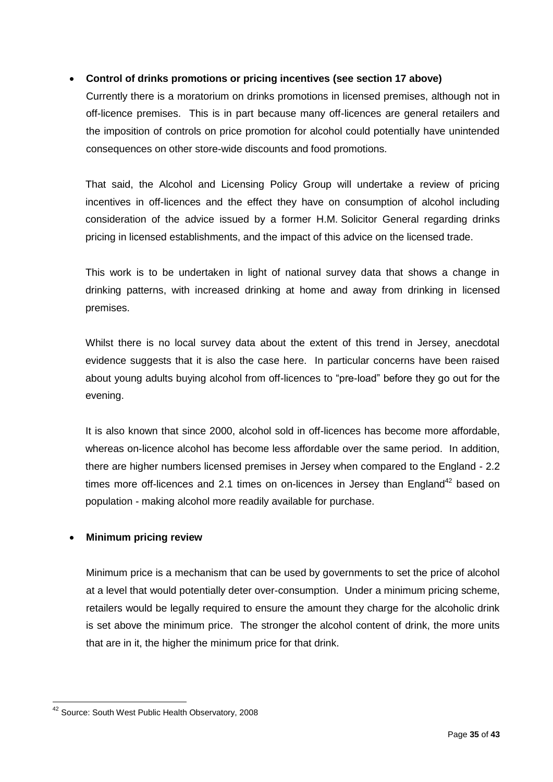#### **Control of drinks promotions or pricing incentives (see section 17 above)**

Currently there is a moratorium on drinks promotions in licensed premises, although not in off-licence premises. This is in part because many off-licences are general retailers and the imposition of controls on price promotion for alcohol could potentially have unintended consequences on other store-wide discounts and food promotions.

That said, the Alcohol and Licensing Policy Group will undertake a review of pricing incentives in off-licences and the effect they have on consumption of alcohol including consideration of the advice issued by a former H.M. Solicitor General regarding drinks pricing in licensed establishments, and the impact of this advice on the licensed trade.

This work is to be undertaken in light of national survey data that shows a change in drinking patterns, with increased drinking at home and away from drinking in licensed premises.

Whilst there is no local survey data about the extent of this trend in Jersey, anecdotal evidence suggests that it is also the case here. In particular concerns have been raised about young adults buying alcohol from off-licences to "pre-load" before they go out for the evening.

It is also known that since 2000, alcohol sold in off-licences has become more affordable, whereas on-licence alcohol has become less affordable over the same period. In addition, there are higher numbers licensed premises in Jersey when compared to the England - 2.2 times more off-licences and 2.1 times on on-licences in Jersey than  $E$ ngland<sup>42</sup> based on population - making alcohol more readily available for purchase.

#### **Minimum pricing review**

Minimum price is a mechanism that can be used by governments to set the price of alcohol at a level that would potentially deter over-consumption. Under a minimum pricing scheme, retailers would be legally required to ensure the amount they charge for the alcoholic drink is set above the minimum price. The stronger the alcohol content of drink, the more units that are in it, the higher the minimum price for that drink.

<sup>&</sup>lt;sup>42</sup> Source: South West Public Health Observatory, 2008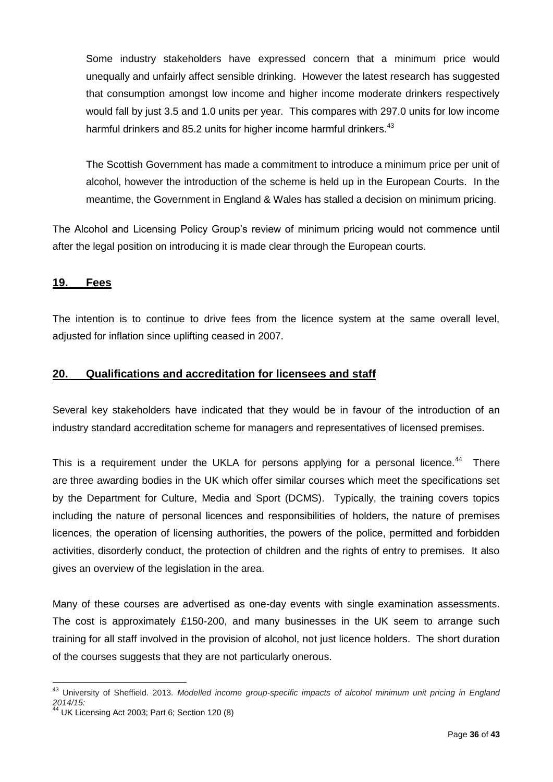Some industry stakeholders have expressed concern that a minimum price would unequally and unfairly affect sensible drinking. However the latest research has suggested that consumption amongst low income and higher income moderate drinkers respectively would fall by just 3.5 and 1.0 units per year. This compares with 297.0 units for low income harmful drinkers and 85.2 units for higher income harmful drinkers.<sup>43</sup>

The Scottish Government has made a commitment to introduce a minimum price per unit of alcohol, however the introduction of the scheme is held up in the European Courts. In the meantime, the Government in England & Wales has stalled a decision on minimum pricing.

The Alcohol and Licensing Policy Group's review of minimum pricing would not commence until after the legal position on introducing it is made clear through the European courts.

#### <span id="page-35-0"></span>**19. Fees**

The intention is to continue to drive fees from the licence system at the same overall level, adjusted for inflation since uplifting ceased in 2007.

#### <span id="page-35-1"></span>**20. Qualifications and accreditation for licensees and staff**

Several key stakeholders have indicated that they would be in favour of the introduction of an industry standard accreditation scheme for managers and representatives of licensed premises.

This is a requirement under the UKLA for persons applying for a personal licence. $44$  There are three awarding bodies in the UK which offer similar courses which meet the specifications set by the Department for Culture, Media and Sport (DCMS). Typically, the training covers topics including the nature of personal licences and responsibilities of holders, the nature of premises licences, the operation of licensing authorities, the powers of the police, permitted and forbidden activities, disorderly conduct, the protection of children and the rights of entry to premises. It also gives an overview of the legislation in the area.

Many of these courses are advertised as one-day events with single examination assessments. The cost is approximately £150-200, and many businesses in the UK seem to arrange such training for all staff involved in the provision of alcohol, not just licence holders. The short duration of the courses suggests that they are not particularly onerous.

<sup>43</sup> University of Sheffield. 2013. *Modelled income group-specific impacts of alcohol minimum unit pricing in England 2014/15:*

<sup>44</sup> UK Licensing Act 2003; Part 6; Section 120 (8)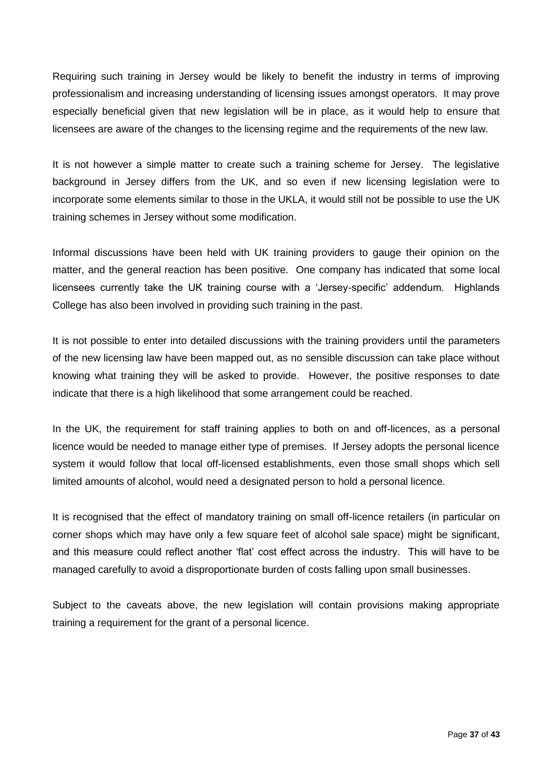Requiring such training in Jersey would be likely to benefit the industry in terms of improving professionalism and increasing understanding of licensing issues amongst operators. It may prove especially beneficial given that new legislation will be in place, as it would help to ensure that licensees are aware of the changes to the licensing regime and the requirements of the new law.

It is not however a simple matter to create such a training scheme for Jersey. The legislative background in Jersey differs from the UK, and so even if new licensing legislation were to incorporate some elements similar to those in the UKLA, it would still not be possible to use the UK training schemes in Jersey without some modification.

Informal discussions have been held with UK training providers to gauge their opinion on the matter, and the general reaction has been positive. One company has indicated that some local licensees currently take the UK training course with a 'Jersey-specific' addendum. Highlands College has also been involved in providing such training in the past.

It is not possible to enter into detailed discussions with the training providers until the parameters of the new licensing law have been mapped out, as no sensible discussion can take place without knowing what training they will be asked to provide. However, the positive responses to date indicate that there is a high likelihood that some arrangement could be reached.

In the UK, the requirement for staff training applies to both on and off-licences, as a personal licence would be needed to manage either type of premises. If Jersey adopts the personal licence system it would follow that local off-licensed establishments, even those small shops which sell limited amounts of alcohol, would need a designated person to hold a personal licence.

It is recognised that the effect of mandatory training on small off-licence retailers (in particular on corner shops which may have only a few square feet of alcohol sale space) might be significant, and this measure could reflect another 'flat' cost effect across the industry. This will have to be managed carefully to avoid a disproportionate burden of costs falling upon small businesses.

<span id="page-36-0"></span>Subject to the caveats above, the new legislation will contain provisions making appropriate training a requirement for the grant of a personal licence.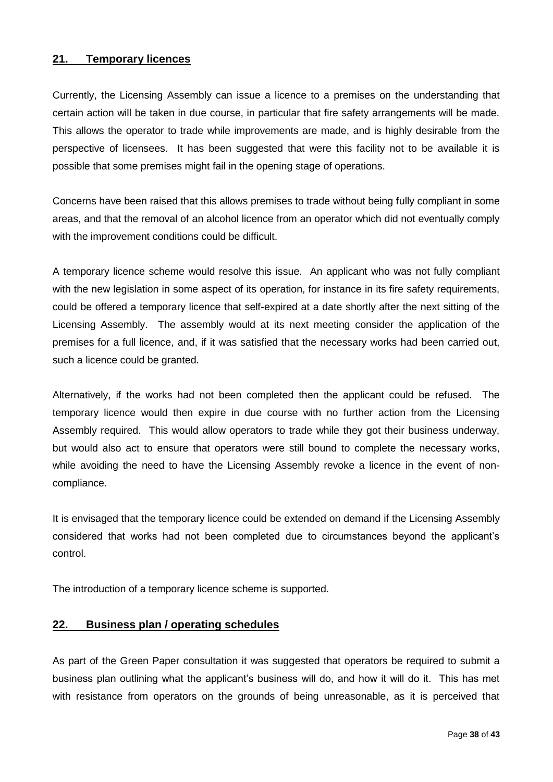#### **21. Temporary licences**

Currently, the Licensing Assembly can issue a licence to a premises on the understanding that certain action will be taken in due course, in particular that fire safety arrangements will be made. This allows the operator to trade while improvements are made, and is highly desirable from the perspective of licensees. It has been suggested that were this facility not to be available it is possible that some premises might fail in the opening stage of operations.

Concerns have been raised that this allows premises to trade without being fully compliant in some areas, and that the removal of an alcohol licence from an operator which did not eventually comply with the improvement conditions could be difficult.

A temporary licence scheme would resolve this issue. An applicant who was not fully compliant with the new legislation in some aspect of its operation, for instance in its fire safety requirements, could be offered a temporary licence that self-expired at a date shortly after the next sitting of the Licensing Assembly. The assembly would at its next meeting consider the application of the premises for a full licence, and, if it was satisfied that the necessary works had been carried out, such a licence could be granted.

Alternatively, if the works had not been completed then the applicant could be refused. The temporary licence would then expire in due course with no further action from the Licensing Assembly required. This would allow operators to trade while they got their business underway, but would also act to ensure that operators were still bound to complete the necessary works, while avoiding the need to have the Licensing Assembly revoke a licence in the event of noncompliance.

It is envisaged that the temporary licence could be extended on demand if the Licensing Assembly considered that works had not been completed due to circumstances beyond the applicant's control.

The introduction of a temporary licence scheme is supported.

#### <span id="page-37-0"></span>**22. Business plan / operating schedules**

As part of the Green Paper consultation it was suggested that operators be required to submit a business plan outlining what the applicant's business will do, and how it will do it. This has met with resistance from operators on the grounds of being unreasonable, as it is perceived that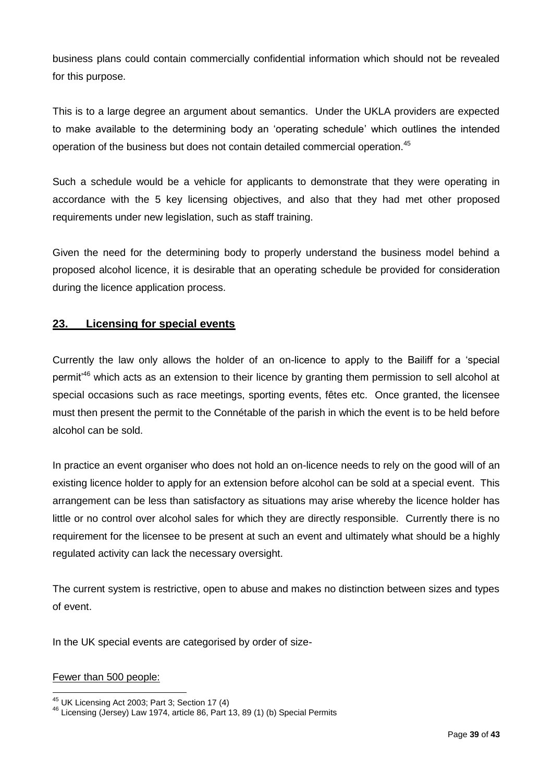business plans could contain commercially confidential information which should not be revealed for this purpose.

This is to a large degree an argument about semantics. Under the UKLA providers are expected to make available to the determining body an 'operating schedule' which outlines the intended operation of the business but does not contain detailed commercial operation.<sup>45</sup>

Such a schedule would be a vehicle for applicants to demonstrate that they were operating in accordance with the 5 key licensing objectives, and also that they had met other proposed requirements under new legislation, such as staff training.

Given the need for the determining body to properly understand the business model behind a proposed alcohol licence, it is desirable that an operating schedule be provided for consideration during the licence application process.

# <span id="page-38-0"></span>**23. Licensing for special events**

Currently the law only allows the holder of an on-licence to apply to the Bailiff for a 'special permit'<sup>46</sup> which acts as an extension to their licence by granting them permission to sell alcohol at special occasions such as race meetings, sporting events, fêtes etc. Once granted, the licensee must then present the permit to the Connétable of the parish in which the event is to be held before alcohol can be sold.

In practice an event organiser who does not hold an on-licence needs to rely on the good will of an existing licence holder to apply for an extension before alcohol can be sold at a special event. This arrangement can be less than satisfactory as situations may arise whereby the licence holder has little or no control over alcohol sales for which they are directly responsible. Currently there is no requirement for the licensee to be present at such an event and ultimately what should be a highly regulated activity can lack the necessary oversight.

The current system is restrictive, open to abuse and makes no distinction between sizes and types of event.

In the UK special events are categorised by order of size-

#### Fewer than 500 people:

 $\overline{a}$  $^{45}$  UK Licensing Act 2003; Part 3; Section 17 (4)

<sup>46</sup> Licensing (Jersey) Law 1974, article 86, Part 13, 89 (1) (b) Special Permits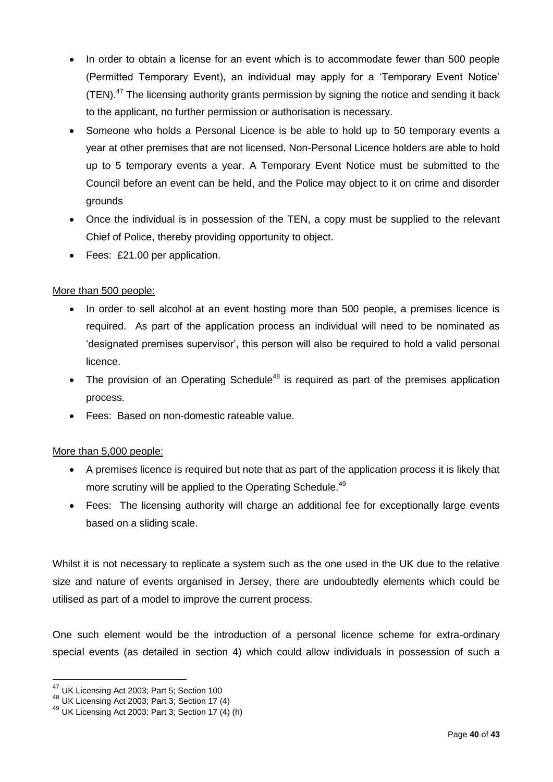- In order to obtain a license for an event which is to accommodate fewer than 500 people (Permitted Temporary Event), an individual may apply for a 'Temporary Event Notice' (TEN).<sup>47</sup> The licensing authority grants permission by signing the notice and sending it back to the applicant, no further permission or authorisation is necessary.
- Someone who holds a Personal Licence is be able to hold up to 50 temporary events a year at other premises that are not licensed. Non-Personal Licence holders are able to hold up to 5 temporary events a year. A Temporary Event Notice must be submitted to the Council before an event can be held, and the Police may object to it on crime and disorder grounds
- Once the individual is in possession of the TEN, a copy must be supplied to the relevant Chief of Police, thereby providing opportunity to object.
- Fees: £21.00 per application.

#### More than 500 people:

- In order to sell alcohol at an event hosting more than 500 people, a premises licence is required. As part of the application process an individual will need to be nominated as 'designated premises supervisor', this person will also be required to hold a valid personal licence.
- The provision of an Operating Schedule<sup>48</sup> is required as part of the premises application process.
- Fees: Based on non-domestic rateable value.

#### More than 5,000 people:

- A premises licence is required but note that as part of the application process it is likely that more scrutiny will be applied to the Operating Schedule.<sup>49</sup>
- Fees: The licensing authority will charge an additional fee for exceptionally large events based on a sliding scale.

Whilst it is not necessary to replicate a system such as the one used in the UK due to the relative size and nature of events organised in Jersey, there are undoubtedly elements which could be utilised as part of a model to improve the current process.

One such element would be the introduction of a personal licence scheme for extra-ordinary special events (as detailed in section 4) which could allow individuals in possession of such a

<sup>&</sup>lt;sup>47</sup> UK Licensing Act 2003; Part 5; Section 100

<sup>48</sup> UK Licensing Act 2003; Part 3; Section 17 (4)

<sup>49</sup> UK Licensing Act 2003; Part 3; Section 17 (4) (h)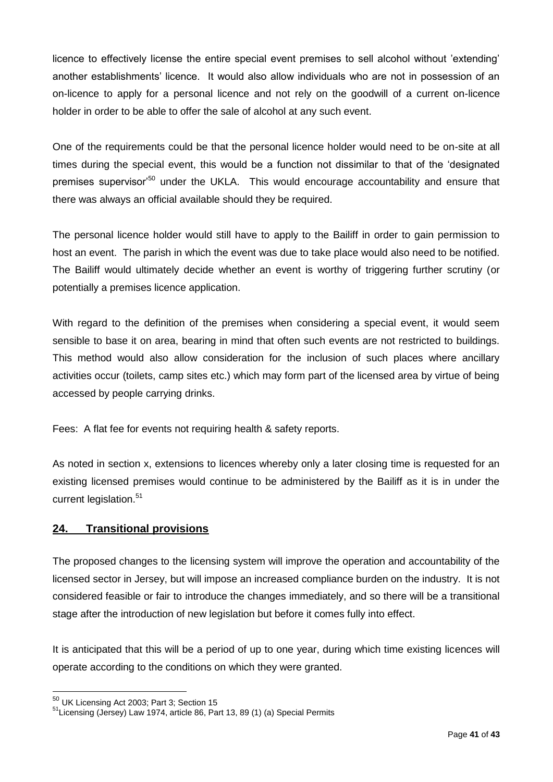licence to effectively license the entire special event premises to sell alcohol without 'extending' another establishments' licence. It would also allow individuals who are not in possession of an on-licence to apply for a personal licence and not rely on the goodwill of a current on-licence holder in order to be able to offer the sale of alcohol at any such event.

One of the requirements could be that the personal licence holder would need to be on-site at all times during the special event, this would be a function not dissimilar to that of the 'designated premises supervisor<sup>50</sup> under the UKLA. This would encourage accountability and ensure that there was always an official available should they be required.

The personal licence holder would still have to apply to the Bailiff in order to gain permission to host an event. The parish in which the event was due to take place would also need to be notified. The Bailiff would ultimately decide whether an event is worthy of triggering further scrutiny (or potentially a premises licence application.

With regard to the definition of the premises when considering a special event, it would seem sensible to base it on area, bearing in mind that often such events are not restricted to buildings. This method would also allow consideration for the inclusion of such places where ancillary activities occur (toilets, camp sites etc.) which may form part of the licensed area by virtue of being accessed by people carrying drinks.

Fees: A flat fee for events not requiring health & safety reports.

As noted in section x, extensions to licences whereby only a later closing time is requested for an existing licensed premises would continue to be administered by the Bailiff as it is in under the current legislation.<sup>51</sup>

# <span id="page-40-0"></span>**24. Transitional provisions**

The proposed changes to the licensing system will improve the operation and accountability of the licensed sector in Jersey, but will impose an increased compliance burden on the industry. It is not considered feasible or fair to introduce the changes immediately, and so there will be a transitional stage after the introduction of new legislation but before it comes fully into effect.

It is anticipated that this will be a period of up to one year, during which time existing licences will operate according to the conditions on which they were granted.

 $50$  UK Licensing Act 2003; Part 3; Section 15

<sup>51</sup>Licensing (Jersey) Law 1974, article 86, Part 13, 89 (1) (a) Special Permits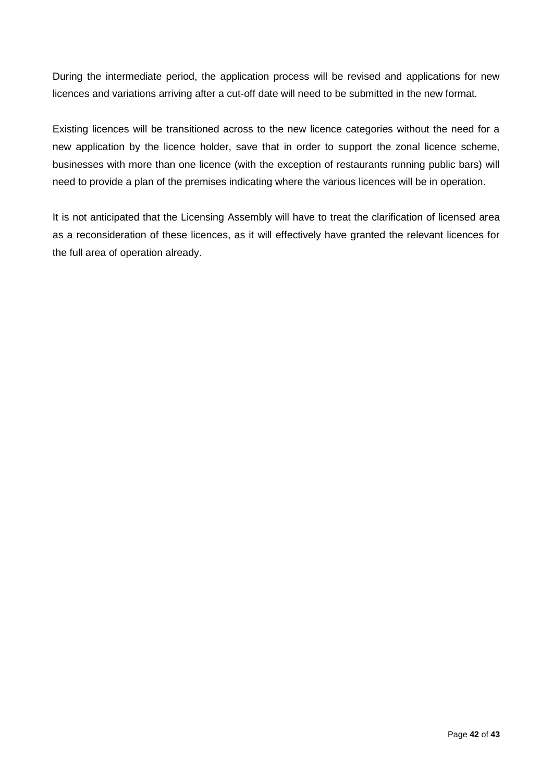During the intermediate period, the application process will be revised and applications for new licences and variations arriving after a cut-off date will need to be submitted in the new format.

Existing licences will be transitioned across to the new licence categories without the need for a new application by the licence holder, save that in order to support the zonal licence scheme, businesses with more than one licence (with the exception of restaurants running public bars) will need to provide a plan of the premises indicating where the various licences will be in operation.

It is not anticipated that the Licensing Assembly will have to treat the clarification of licensed area as a reconsideration of these licences, as it will effectively have granted the relevant licences for the full area of operation already.